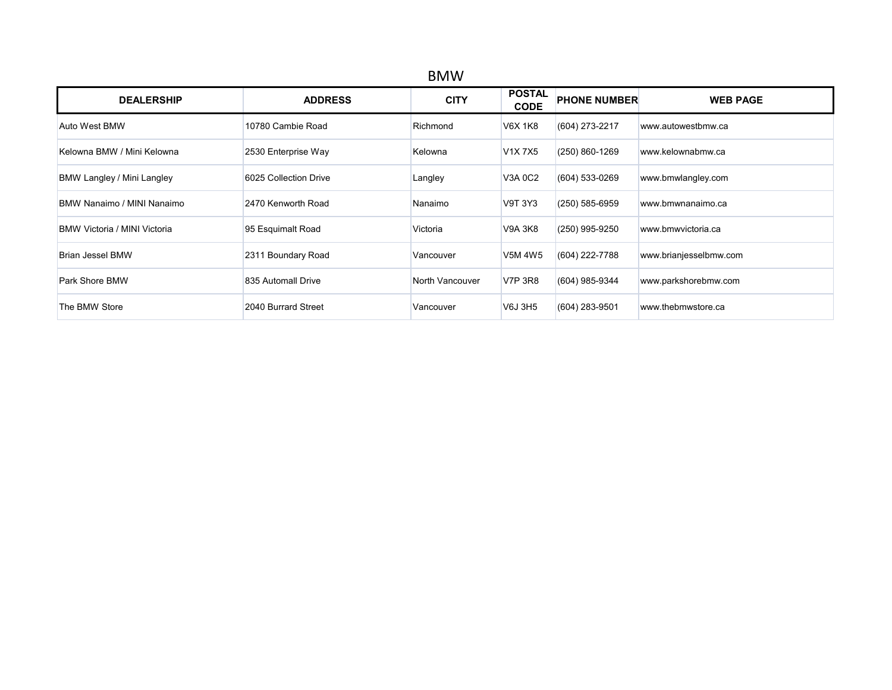| <b>BMW</b>                          |                       |                 |                              |                     |                        |  |  |  |
|-------------------------------------|-----------------------|-----------------|------------------------------|---------------------|------------------------|--|--|--|
| <b>DEALERSHIP</b>                   | <b>ADDRESS</b>        | <b>CITY</b>     | <b>POSTAL</b><br><b>CODE</b> | <b>PHONE NUMBER</b> | <b>WEB PAGE</b>        |  |  |  |
| Auto West BMW                       | 10780 Cambie Road     | Richmond        | V6X 1K8                      | (604) 273-2217      | www.autowestbmw.ca     |  |  |  |
| Kelowna BMW / Mini Kelowna          | 2530 Enterprise Way   | Kelowna         | V1X7X5                       | (250) 860-1269      | www.kelownabmw.ca      |  |  |  |
| BMW Langley / Mini Langley          | 6025 Collection Drive | Langley         | V3A 0C2                      | (604) 533-0269      | www.bmwlangley.com     |  |  |  |
| BMW Nanaimo / MINI Nanaimo          | 2470 Kenworth Road    | Nanaimo         | V9T 3Y3                      | $(250)$ 585-6959    | www.bmwnanaimo.ca      |  |  |  |
| <b>BMW Victoria / MINI Victoria</b> | 95 Esquimalt Road     | Victoria        | V9A 3K8                      | (250) 995-9250      | www.bmwvictoria.ca     |  |  |  |
| <b>Brian Jessel BMW</b>             | 2311 Boundary Road    | Vancouver       | V5M 4W5                      | (604) 222-7788      | www.brianjesselbmw.com |  |  |  |
| Park Shore BMW                      | 835 Automall Drive    | North Vancouver | <b>V7P 3R8</b>               | (604) 985-9344      | www.parkshorebmw.com   |  |  |  |
| The BMW Store                       | 2040 Burrard Street   | Vancouver       | V6J 3H5                      | (604) 283-9501      | www.thebmwstore.ca     |  |  |  |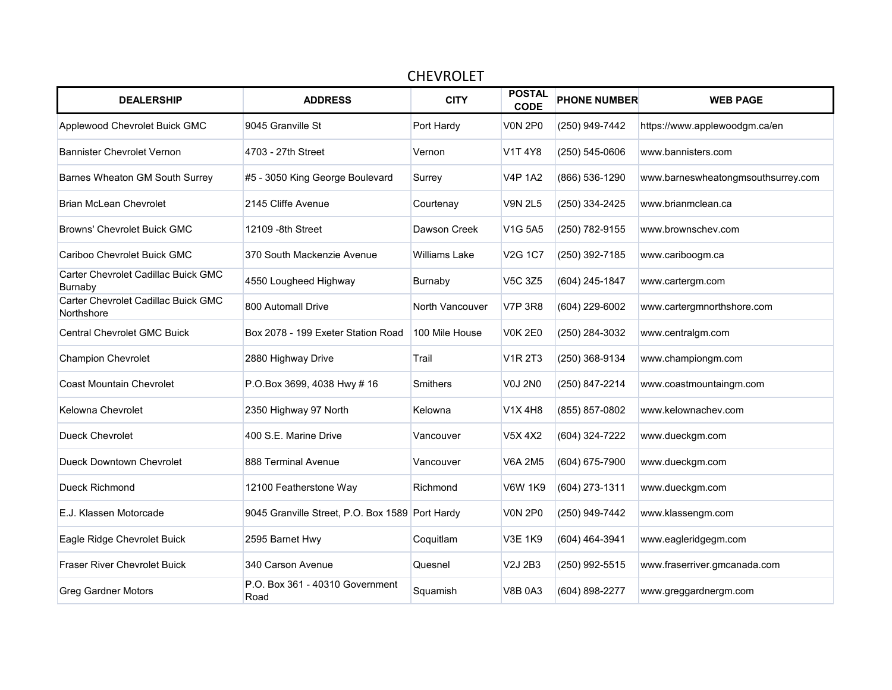| <b>CHEVROLET</b>                                  |                                                 |                 |                              |                     |                                    |  |  |  |  |
|---------------------------------------------------|-------------------------------------------------|-----------------|------------------------------|---------------------|------------------------------------|--|--|--|--|
| <b>DEALERSHIP</b>                                 | <b>ADDRESS</b>                                  | <b>CITY</b>     | <b>POSTAL</b><br><b>CODE</b> | <b>PHONE NUMBER</b> | <b>WEB PAGE</b>                    |  |  |  |  |
| Applewood Chevrolet Buick GMC                     | 9045 Granville St                               | Port Hardy      | <b>V0N 2P0</b>               | (250) 949-7442      | https://www.applewoodgm.ca/en      |  |  |  |  |
| <b>Bannister Chevrolet Vernon</b>                 | 4703 - 27th Street                              | Vernon          | V1T 4Y8                      | (250) 545-0606      | www.bannisters.com                 |  |  |  |  |
| Barnes Wheaton GM South Surrey                    | #5 - 3050 King George Boulevard                 | Surrey          | <b>V4P 1A2</b>               | (866) 536-1290      | www.barneswheatongmsouthsurrey.com |  |  |  |  |
| <b>Brian McLean Chevrolet</b>                     | 2145 Cliffe Avenue                              | Courtenay       | V9N 2L5                      | (250) 334-2425      | www.brianmclean.ca                 |  |  |  |  |
| <b>Browns' Chevrolet Buick GMC</b>                | 12109 - 8th Street                              | Dawson Creek    | V1G 5A5                      | (250) 782-9155      | www.brownschev.com                 |  |  |  |  |
| Cariboo Chevrolet Buick GMC                       | 370 South Mackenzie Avenue                      | Williams Lake   | <b>V2G 1C7</b>               | (250) 392-7185      | www.cariboogm.ca                   |  |  |  |  |
| Carter Chevrolet Cadillac Buick GMC<br>Burnaby    | 4550 Lougheed Highway                           | Burnaby         | V5C 3Z5                      | (604) 245-1847      | www.cartergm.com                   |  |  |  |  |
| Carter Chevrolet Cadillac Buick GMC<br>Northshore | 800 Automall Drive                              | North Vancouver | <b>V7P 3R8</b>               | (604) 229-6002      | www.cartergmnorthshore.com         |  |  |  |  |
| <b>Central Chevrolet GMC Buick</b>                | Box 2078 - 199 Exeter Station Road              | 100 Mile House  | <b>V0K 2E0</b>               | (250) 284-3032      | www.centralgm.com                  |  |  |  |  |
| Champion Chevrolet                                | 2880 Highway Drive                              | Trail           | <b>V1R 2T3</b>               | (250) 368-9134      | www.championgm.com                 |  |  |  |  |
| <b>Coast Mountain Chevrolet</b>                   | P.O.Box 3699, 4038 Hwy # 16                     | <b>Smithers</b> | <b>V0J 2N0</b>               | (250) 847-2214      | www.coastmountaingm.com            |  |  |  |  |
| Kelowna Chevrolet                                 | 2350 Highway 97 North                           | Kelowna         | V1X 4H8                      | (855) 857-0802      | www.kelownachev.com                |  |  |  |  |
| Dueck Chevrolet                                   | 400 S.E. Marine Drive                           | Vancouver       | V5X 4X2                      | (604) 324-7222      | www.dueckgm.com                    |  |  |  |  |
| Dueck Downtown Chevrolet                          | 888 Terminal Avenue                             | Vancouver       | <b>V6A 2M5</b>               | (604) 675-7900      | www.dueckgm.com                    |  |  |  |  |
| Dueck Richmond                                    | 12100 Featherstone Way                          | Richmond        | V6W 1K9                      | (604) 273-1311      | www.dueckgm.com                    |  |  |  |  |
| E.J. Klassen Motorcade                            | 9045 Granville Street, P.O. Box 1589 Port Hardy |                 | <b>V0N 2P0</b>               | (250) 949-7442      | www.klassengm.com                  |  |  |  |  |
| Eagle Ridge Chevrolet Buick                       | 2595 Barnet Hwy                                 | Coquitlam       | <b>V3E 1K9</b>               | (604) 464-3941      | www.eagleridgegm.com               |  |  |  |  |
| <b>Fraser River Chevrolet Buick</b>               | 340 Carson Avenue                               | Quesnel         | V2J 2B3                      | (250) 992-5515      | www.fraserriver.gmcanada.com       |  |  |  |  |
| <b>Greg Gardner Motors</b>                        | P.O. Box 361 - 40310 Government<br>Road         | Squamish        | <b>V8B 0A3</b>               | (604) 898-2277      | www.greggardnergm.com              |  |  |  |  |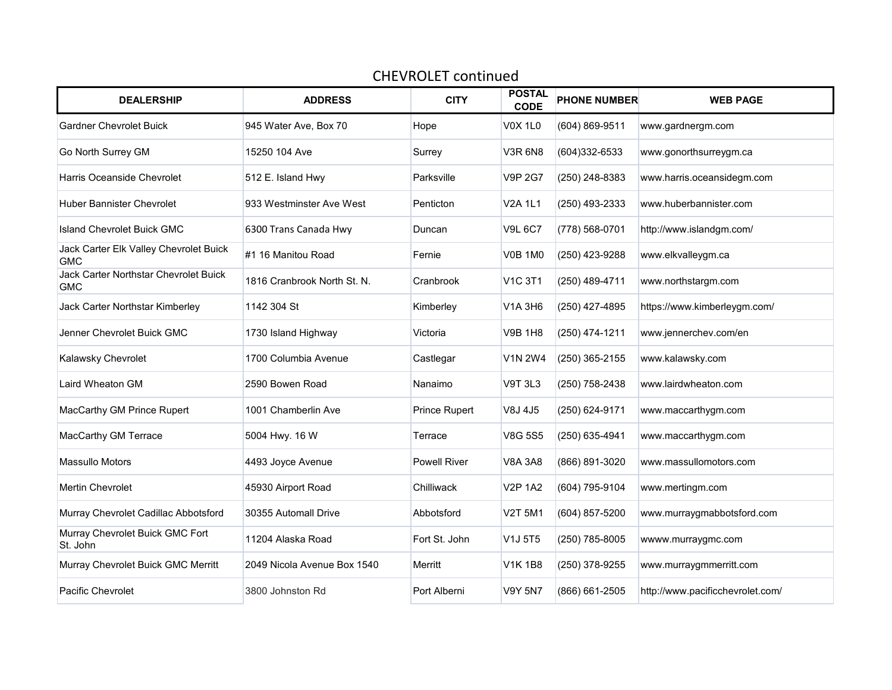| <b>DEALERSHIP</b>                                    | <b>ADDRESS</b>              | <b>CITY</b>          | <b>POSTAL</b><br><b>CODE</b>     | <b>PHONE NUMBER</b> | <b>WEB PAGE</b>                  |
|------------------------------------------------------|-----------------------------|----------------------|----------------------------------|---------------------|----------------------------------|
| <b>Gardner Chevrolet Buick</b>                       | 945 Water Ave, Box 70       | Hope                 | <b>V0X1L0</b>                    | (604) 869-9511      | www.gardnergm.com                |
| Go North Surrey GM                                   | 15250 104 Ave               | Surrey               | <b>V3R 6N8</b>                   | (604)332-6533       | www.gonorthsurreygm.ca           |
| Harris Oceanside Chevrolet                           | 512 E. Island Hwy           | Parksville           | <b>V9P 2G7</b>                   | (250) 248-8383      | www.harris.oceansidegm.com       |
| <b>Huber Bannister Chevrolet</b>                     | 933 Westminster Ave West    | Penticton            | <b>V2A 1L1</b>                   | (250) 493-2333      | www.huberbannister.com           |
| Island Chevrolet Buick GMC                           | 6300 Trans Canada Hwy       | Duncan               | <b>V9L 6C7</b>                   | (778) 568-0701      | http://www.islandgm.com/         |
| Jack Carter Elk Valley Chevrolet Buick<br><b>GMC</b> | #1 16 Manitou Road          | Fernie               | <b>V0B 1M0</b>                   | (250) 423-9288      | www.elkvalleygm.ca               |
| Jack Carter Northstar Chevrolet Buick<br><b>GMC</b>  | 1816 Cranbrook North St. N. | Cranbrook            | V <sub>1</sub> C 3T <sub>1</sub> | (250) 489-4711      | www.northstargm.com              |
| Jack Carter Northstar Kimberley                      | 1142 304 St                 | Kimberley            | V1A 3H6                          | (250) 427-4895      | https://www.kimberleygm.com/     |
| Jenner Chevrolet Buick GMC                           | 1730 Island Highway         | Victoria             | <b>V9B 1H8</b>                   | (250) 474-1211      | www.jennerchev.com/en            |
| Kalawsky Chevrolet                                   | 1700 Columbia Avenue        | Castlegar            | <b>V1N 2W4</b>                   | (250) 365-2155      | www.kalawsky.com                 |
| Laird Wheaton GM                                     | 2590 Bowen Road             | Nanaimo              | <b>V9T 3L3</b>                   | (250) 758-2438      | www.lairdwheaton.com             |
| MacCarthy GM Prince Rupert                           | 1001 Chamberlin Ave         | <b>Prince Rupert</b> | V8J 4J5                          | (250) 624-9171      | www.maccarthygm.com              |
| MacCarthy GM Terrace                                 | 5004 Hwy. 16 W              | Terrace              | <b>V8G 5S5</b>                   | (250) 635-4941      | www.maccarthygm.com              |
| <b>Massullo Motors</b>                               | 4493 Joyce Avenue           | <b>Powell River</b>  | <b>V8A 3A8</b>                   | (866) 891-3020      | www.massullomotors.com           |
| <b>Mertin Chevrolet</b>                              | 45930 Airport Road          | Chilliwack           | <b>V2P 1A2</b>                   | (604) 795-9104      | www.mertingm.com                 |
| Murray Chevrolet Cadillac Abbotsford                 | 30355 Automall Drive        | Abbotsford           | V2T 5M1                          | (604) 857-5200      | www.murraygmabbotsford.com       |
| Murray Chevrolet Buick GMC Fort<br>St. John          | 11204 Alaska Road           | Fort St. John        | V1J 5T5                          | (250) 785-8005      | wwww.murraygmc.com               |
| Murray Chevrolet Buick GMC Merritt                   | 2049 Nicola Avenue Box 1540 | Merritt              | <b>V1K1B8</b>                    | (250) 378-9255      | www.murraygmmerritt.com          |
| <b>Pacific Chevrolet</b>                             | 3800 Johnston Rd            | Port Alberni         | <b>V9Y 5N7</b>                   | (866) 661-2505      | http://www.pacificchevrolet.com/ |

## CHEVROLET continued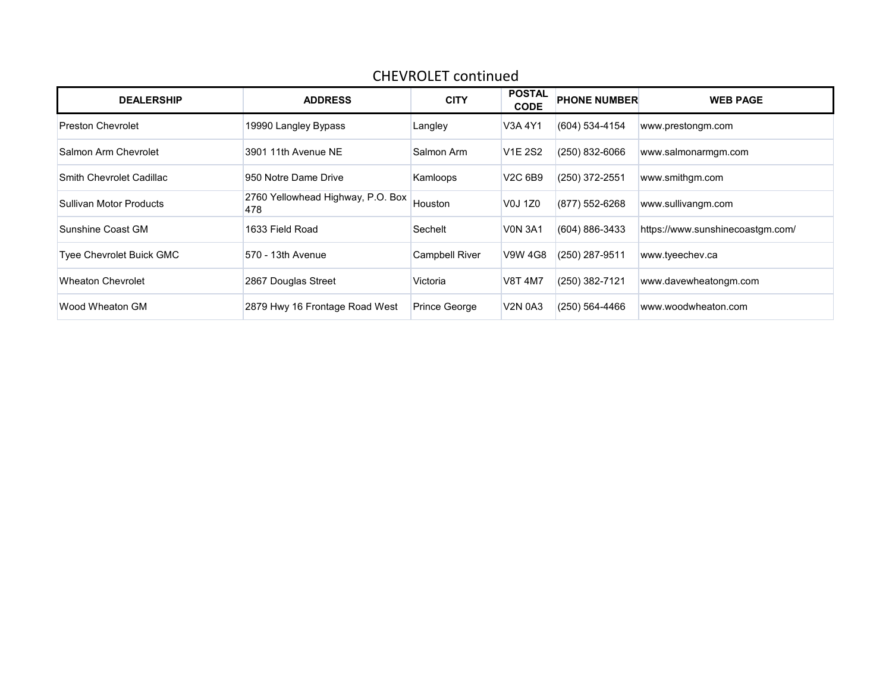| <b>DEALERSHIP</b>               | <b>ADDRESS</b>                           | <b>CITY</b>           | <b>POSTAL</b><br><b>CODE</b> | <b>PHONE NUMBER</b> | <b>WEB PAGE</b>                  |
|---------------------------------|------------------------------------------|-----------------------|------------------------------|---------------------|----------------------------------|
| <b>Preston Chevrolet</b>        | 19990 Langley Bypass                     | Langley               | V3A 4Y1                      | (604) 534-4154      | www.prestongm.com                |
| Salmon Arm Chevrolet            | 3901 11th Avenue NE                      | Salmon Arm            | <b>V1E 2S2</b>               | (250) 832-6066      | www.salmonarmgm.com              |
| Smith Chevrolet Cadillac        | 950 Notre Dame Drive                     | Kamloops              | V2C 6B9                      | (250) 372-2551      | www.smithgm.com                  |
| Sullivan Motor Products         | 2760 Yellowhead Highway, P.O. Box<br>478 | Houston               | V0J 1Z0                      | (877) 552-6268      | www.sullivangm.com               |
| Sunshine Coast GM               | 1633 Field Road                          | Sechelt               | <b>VON 3A1</b>               | (604) 886-3433      | https://www.sunshinecoastgm.com/ |
| <b>Tyee Chevrolet Buick GMC</b> | 570 - 13th Avenue                        | <b>Campbell River</b> | V9W 4G8                      | (250) 287-9511      | www.tyeechev.ca                  |
| <b>Wheaton Chevrolet</b>        | 2867 Douglas Street                      | Victoria              | <b>V8T 4M7</b>               | (250) 382-7121      | www.davewheatongm.com            |
| Wood Wheaton GM                 | 2879 Hwy 16 Frontage Road West           | <b>Prince George</b>  | <b>V2N 0A3</b>               | (250) 564-4466      | www.woodwheaton.com              |

## CHEVROLET continued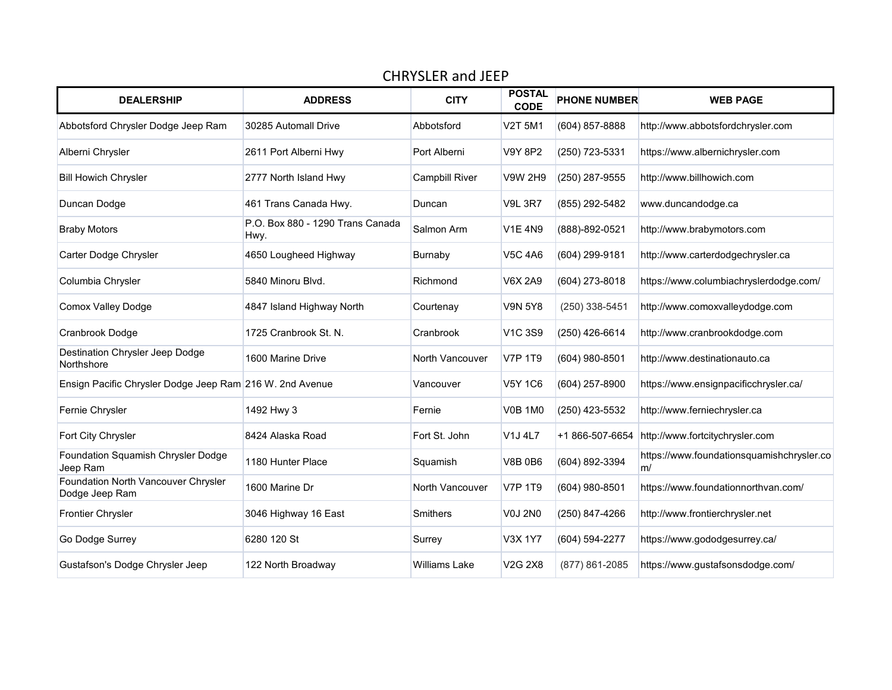| <b>DEALERSHIP</b>                                        | <b>ADDRESS</b>                           | <b>CITY</b>           | <b>POSTAL</b><br><b>CODE</b>                 | <b>PHONE NUMBER</b> | <b>WEB PAGE</b>                                 |
|----------------------------------------------------------|------------------------------------------|-----------------------|----------------------------------------------|---------------------|-------------------------------------------------|
| Abbotsford Chrysler Dodge Jeep Ram                       | 30285 Automall Drive                     | Abbotsford            | <b>V2T 5M1</b>                               | (604) 857-8888      | http://www.abbotsfordchrysler.com               |
| Alberni Chrysler                                         | 2611 Port Alberni Hwy                    | Port Alberni          | <b>V9Y 8P2</b>                               | (250) 723-5331      | https://www.albernichrysler.com                 |
| <b>Bill Howich Chrysler</b>                              | 2777 North Island Hwy                    | <b>Campbill River</b> | <b>V9W 2H9</b>                               | (250) 287-9555      | http://www.billhowich.com                       |
| Duncan Dodge                                             | 461 Trans Canada Hwy.                    | Duncan                | <b>V9L 3R7</b>                               | (855) 292-5482      | www.duncandodge.ca                              |
| <b>Braby Motors</b>                                      | P.O. Box 880 - 1290 Trans Canada<br>Hwy. | Salmon Arm            | <b>V1E 4N9</b>                               | (888)-892-0521      | http://www.brabymotors.com                      |
| Carter Dodge Chrysler                                    | 4650 Lougheed Highway                    | Burnaby               | <b>V5C 4A6</b>                               | (604) 299-9181      | http://www.carterdodgechrysler.ca               |
| Columbia Chrysler                                        | 5840 Minoru Blvd.                        | Richmond              | <b>V6X 2A9</b>                               | (604) 273-8018      | https://www.columbiachryslerdodge.com/          |
| <b>Comox Valley Dodge</b>                                | 4847 Island Highway North                | Courtenay             | <b>V9N 5Y8</b>                               | (250) 338-5451      | http://www.comoxvalleydodge.com                 |
| Cranbrook Dodge                                          | 1725 Cranbrook St. N.                    | Cranbrook             | V <sub>1</sub> C 3S9                         | (250) 426-6614      | http://www.cranbrookdodge.com                   |
| Destination Chrysler Jeep Dodge<br>Northshore            | 1600 Marine Drive                        | North Vancouver       | <b>V7P 1T9</b>                               | (604) 980-8501      | http://www.destinationauto.ca                   |
| Ensign Pacific Chrysler Dodge Jeep Ram 216 W. 2nd Avenue |                                          | Vancouver             | <b>V5Y 1C6</b>                               | (604) 257-8900      | https://www.ensignpacificchrysler.ca/           |
| Fernie Chrysler                                          | 1492 Hwy 3                               | Fernie                | <b>V0B 1M0</b>                               | (250) 423-5532      | http://www.ferniechrysler.ca                    |
| Fort City Chrysler                                       | 8424 Alaska Road                         | Fort St. John         | V <sub>1</sub> J <sub>4L7</sub>              | +1 866-507-6654     | http://www.fortcitychrysler.com                 |
| Foundation Squamish Chrysler Dodge<br>Jeep Ram           | 1180 Hunter Place                        | Squamish              | <b>V8B 0B6</b>                               | (604) 892-3394      | https://www.foundationsquamishchrysler.co<br>m/ |
| Foundation North Vancouver Chrysler<br>Dodge Jeep Ram    | 1600 Marine Dr                           | North Vancouver       | <b>V7P 1T9</b>                               | (604) 980-8501      | https://www.foundationnorthvan.com/             |
| Frontier Chrysler                                        | 3046 Highway 16 East                     | <b>Smithers</b>       | <b>V0J 2N0</b>                               | (250) 847-4266      | http://www.frontierchrysler.net                 |
| Go Dodge Surrey                                          | 6280 120 St                              | Surrey                | V3X 1Y7                                      | (604) 594-2277      | https://www.gododgesurrey.ca/                   |
| Gustafson's Dodge Chrysler Jeep                          | 122 North Broadway                       | <b>Williams Lake</b>  | V <sub>2</sub> G <sub>2</sub> X <sub>8</sub> | (877) 861-2085      | https://www.gustafsonsdodge.com/                |

## CHRYSLER and JEEP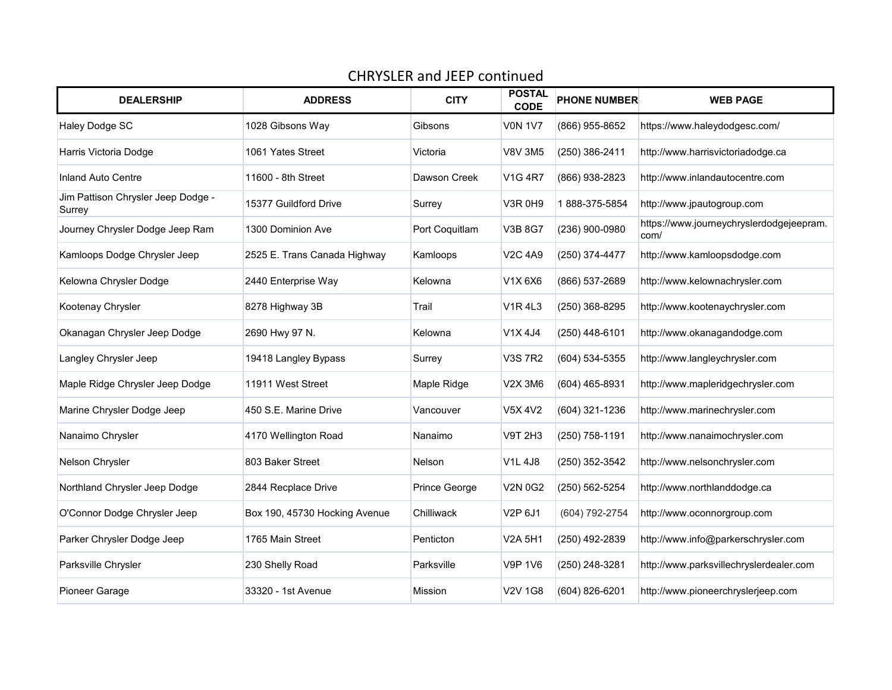## CHRYSLER and JEEP continued

| <b>DEALERSHIP</b>                            | <b>ADDRESS</b>                | <b>CITY</b>    | <b>POSTAL</b><br><b>CODE</b> | <b>PHONE NUMBER</b> | <b>WEB PAGE</b>                                  |
|----------------------------------------------|-------------------------------|----------------|------------------------------|---------------------|--------------------------------------------------|
| Haley Dodge SC                               | 1028 Gibsons Way              | Gibsons        | <b>V0N 1V7</b>               | (866) 955-8652      | https://www.haleydodgesc.com/                    |
| Harris Victoria Dodge                        | 1061 Yates Street             | Victoria       | <b>V8V 3M5</b>               | (250) 386-2411      | http://www.harrisvictoriadodge.ca                |
| <b>Inland Auto Centre</b>                    | 11600 - 8th Street            | Dawson Creek   | <b>V1G 4R7</b>               | (866) 938-2823      | http://www.inlandautocentre.com                  |
| Jim Pattison Chrysler Jeep Dodge -<br>Surrey | 15377 Guildford Drive         | Surrey         | <b>V3R 0H9</b>               | 1888-375-5854       | http://www.jpautogroup.com                       |
| Journey Chrysler Dodge Jeep Ram              | 1300 Dominion Ave             | Port Coquitlam | V3B 8G7                      | (236) 900-0980      | https://www.journeychryslerdodgejeepram.<br>com/ |
| Kamloops Dodge Chrysler Jeep                 | 2525 E. Trans Canada Highway  | Kamloops       | <b>V2C 4A9</b>               | (250) 374-4477      | http://www.kamloopsdodge.com                     |
| Kelowna Chrysler Dodge                       | 2440 Enterprise Way           | Kelowna        | V1X 6X6                      | (866) 537-2689      | http://www.kelownachrysler.com                   |
| Kootenay Chrysler                            | 8278 Highway 3B               | Trail          | <b>V1R4L3</b>                | (250) 368-8295      | http://www.kootenaychrysler.com                  |
| Okanagan Chrysler Jeep Dodge                 | 2690 Hwy 97 N.                | Kelowna        | V1X4J4                       | (250) 448-6101      | http://www.okanagandodge.com                     |
| Langley Chrysler Jeep                        | 19418 Langley Bypass          | Surrey         | <b>V3S7R2</b>                | (604) 534-5355      | http://www.langleychrysler.com                   |
| Maple Ridge Chrysler Jeep Dodge              | 11911 West Street             | Maple Ridge    | V2X 3M6                      | (604) 465-8931      | http://www.mapleridgechrysler.com                |
| Marine Chrysler Dodge Jeep                   | 450 S.E. Marine Drive         | Vancouver      | V5X 4V2                      | (604) 321-1236      | http://www.marinechrysler.com                    |
| Nanaimo Chrysler                             | 4170 Wellington Road          | Nanaimo        | <b>V9T 2H3</b>               | (250) 758-1191      | http://www.nanaimochrysler.com                   |
| Nelson Chrysler                              | 803 Baker Street              | Nelson         | <b>V1L 4J8</b>               | (250) 352-3542      | http://www.nelsonchrysler.com                    |
| Northland Chrysler Jeep Dodge                | 2844 Recplace Drive           | Prince George  | <b>V2N 0G2</b>               | (250) 562-5254      | http://www.northlanddodge.ca                     |
| O'Connor Dodge Chrysler Jeep                 | Box 190, 45730 Hocking Avenue | Chilliwack     | V2P 6J1                      | (604) 792-2754      | http://www.oconnorgroup.com                      |
| Parker Chrysler Dodge Jeep                   | 1765 Main Street              | Penticton      | V2A 5H1                      | (250) 492-2839      | http://www.info@parkerschrysler.com              |
| Parksville Chrysler                          | 230 Shelly Road               | Parksville     | <b>V9P 1V6</b>               | (250) 248-3281      | http://www.parksvillechryslerdealer.com          |
| Pioneer Garage                               | 33320 - 1st Avenue            | Mission        | V2V 1G8                      | (604) 826-6201      | http://www.pioneerchryslerjeep.com               |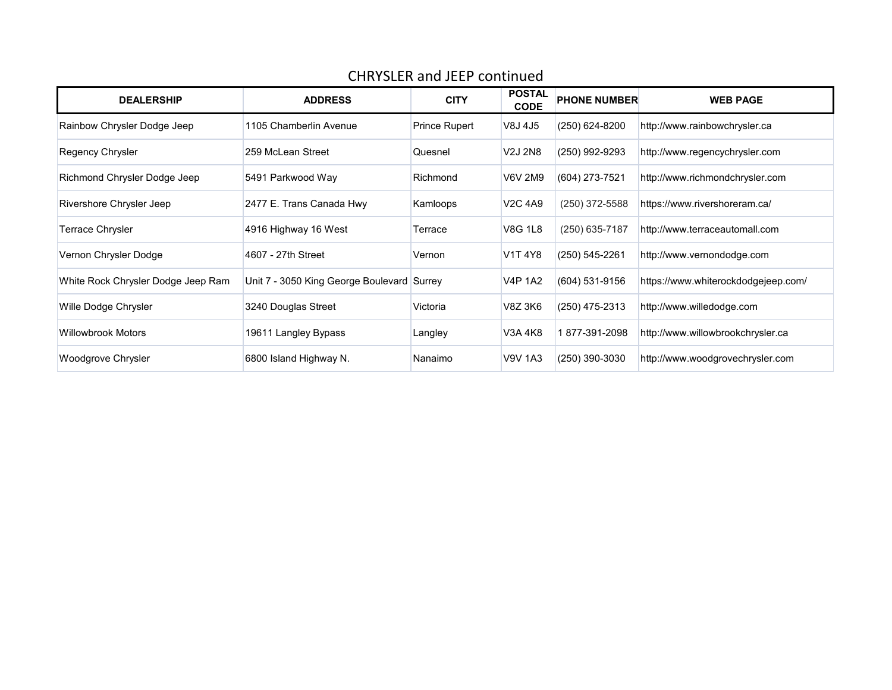| <b>DEALERSHIP</b>                  | <b>ADDRESS</b>                             | <b>CITY</b>   | <b>POSTAL</b><br><b>CODE</b> | <b>PHONE NUMBER</b> | <b>WEB PAGE</b>                     |
|------------------------------------|--------------------------------------------|---------------|------------------------------|---------------------|-------------------------------------|
| Rainbow Chrysler Dodge Jeep        | 1105 Chamberlin Avenue                     | Prince Rupert | V8J 4J5                      | (250) 624-8200      | http://www.rainbowchrysler.ca       |
| Regency Chrysler                   | 259 McLean Street                          | Quesnel       | V2J 2N8                      | (250) 992-9293      | http://www.regencychrysler.com      |
| Richmond Chrysler Dodge Jeep       | 5491 Parkwood Way                          | Richmond      | V6V 2M9                      | (604) 273-7521      | http://www.richmondchrysler.com     |
| Rivershore Chrysler Jeep           | 2477 E. Trans Canada Hwy                   | Kamloops      | <b>V2C 4A9</b>               | (250) 372-5588      | https://www.rivershoreram.ca/       |
| Terrace Chrysler                   | 4916 Highway 16 West                       | Terrace       | <b>V8G 1L8</b>               | (250) 635-7187      | http://www.terraceautomall.com      |
| Vernon Chrysler Dodge              | 4607 - 27th Street                         | Vernon        | V1T 4Y8                      | (250) 545-2261      | http://www.vernondodge.com          |
| White Rock Chrysler Dodge Jeep Ram | Unit 7 - 3050 King George Boulevard Surrey |               | <b>V4P 1A2</b>               | (604) 531-9156      | https://www.whiterockdodgejeep.com/ |
| Wille Dodge Chrysler               | 3240 Douglas Street                        | Victoria      | V8Z 3K6                      | (250) 475-2313      | http://www.willedodge.com           |
| Willowbrook Motors                 | 19611 Langley Bypass                       | Langley       | V3A 4K8                      | 877-391-2098        | http://www.willowbrookchrysler.ca   |
| Woodgrove Chrysler                 | 6800 Island Highway N.                     | Nanaimo       | <b>V9V 1A3</b>               | (250) 390-3030      | http://www.woodgrovechrysler.com    |

# CHRYSLER and JEEP continued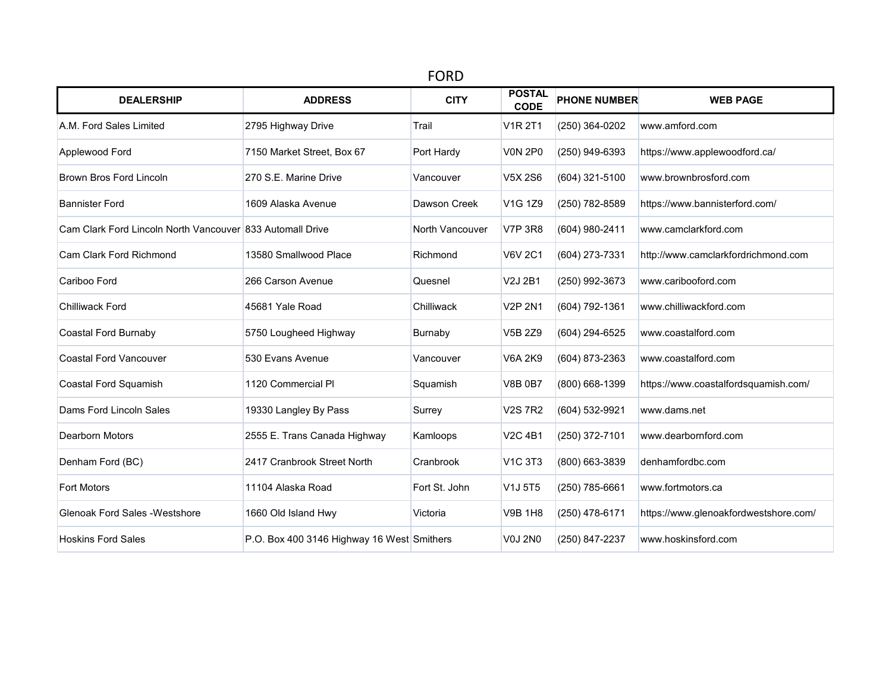| <b>FORD</b>                                               |                                            |                 |                                              |                     |                                       |  |  |  |  |
|-----------------------------------------------------------|--------------------------------------------|-----------------|----------------------------------------------|---------------------|---------------------------------------|--|--|--|--|
| <b>DEALERSHIP</b>                                         | <b>ADDRESS</b>                             | <b>CITY</b>     | <b>POSTAL</b><br><b>CODE</b>                 | <b>PHONE NUMBER</b> | <b>WEB PAGE</b>                       |  |  |  |  |
| A.M. Ford Sales Limited                                   | 2795 Highway Drive                         | Trail           | <b>V1R 2T1</b>                               | (250) 364-0202      | www.amford.com                        |  |  |  |  |
| Applewood Ford                                            | 7150 Market Street, Box 67                 | Port Hardy      | <b>V0N 2P0</b>                               | (250) 949-6393      | https://www.applewoodford.ca/         |  |  |  |  |
| <b>Brown Bros Ford Lincoln</b>                            | 270 S.E. Marine Drive                      | Vancouver       | V5X 2S6                                      | (604) 321-5100      | www.brownbrosford.com                 |  |  |  |  |
| <b>Bannister Ford</b>                                     | 1609 Alaska Avenue                         | Dawson Creek    | V <sub>1</sub> G <sub>1</sub> Z <sub>9</sub> | (250) 782-8589      | https://www.bannisterford.com/        |  |  |  |  |
| Cam Clark Ford Lincoln North Vancouver 833 Automall Drive |                                            | North Vancouver | <b>V7P 3R8</b>                               | (604) 980-2411      | www.camclarkford.com                  |  |  |  |  |
| Cam Clark Ford Richmond                                   | 13580 Smallwood Place                      | Richmond        | <b>V6V 2C1</b>                               | (604) 273-7331      | http://www.camclarkfordrichmond.com   |  |  |  |  |
| Cariboo Ford                                              | 266 Carson Avenue                          | Quesnel         | V2J 2B1                                      | (250) 992-3673      | www.caribooford.com                   |  |  |  |  |
| Chilliwack Ford                                           | 45681 Yale Road                            | Chilliwack      | <b>V2P 2N1</b>                               | (604) 792-1361      | www.chilliwackford.com                |  |  |  |  |
| Coastal Ford Burnaby                                      | 5750 Lougheed Highway                      | Burnaby         | V5B 2Z9                                      | (604) 294-6525      | www.coastalford.com                   |  |  |  |  |
| <b>Coastal Ford Vancouver</b>                             | 530 Evans Avenue                           | Vancouver       | <b>V6A 2K9</b>                               | (604) 873-2363      | www.coastalford.com                   |  |  |  |  |
| Coastal Ford Squamish                                     | 1120 Commercial PI                         | Squamish        | <b>V8B 0B7</b>                               | (800) 668-1399      | https://www.coastalfordsquamish.com/  |  |  |  |  |
| Dams Ford Lincoln Sales                                   | 19330 Langley By Pass                      | Surrey          | <b>V2S7R2</b>                                | (604) 532-9921      | www.dams.net                          |  |  |  |  |
| Dearborn Motors                                           | 2555 E. Trans Canada Highway               | Kamloops        | <b>V2C 4B1</b>                               | (250) 372-7101      | www.dearbornford.com                  |  |  |  |  |
| Denham Ford (BC)                                          | 2417 Cranbrook Street North                | Cranbrook       | <b>V1C 3T3</b>                               | (800) 663-3839      | denhamfordbc.com                      |  |  |  |  |
| <b>Fort Motors</b>                                        | 11104 Alaska Road                          | Fort St. John   | V1J 5T5                                      | (250) 785-6661      | www.fortmotors.ca                     |  |  |  |  |
| <b>Glenoak Ford Sales - Westshore</b>                     | 1660 Old Island Hwy                        | Victoria        | <b>V9B 1H8</b>                               | (250) 478-6171      | https://www.glenoakfordwestshore.com/ |  |  |  |  |
| <b>Hoskins Ford Sales</b>                                 | P.O. Box 400 3146 Highway 16 West Smithers |                 | <b>V0J 2N0</b>                               | (250) 847-2237      | www.hoskinsford.com                   |  |  |  |  |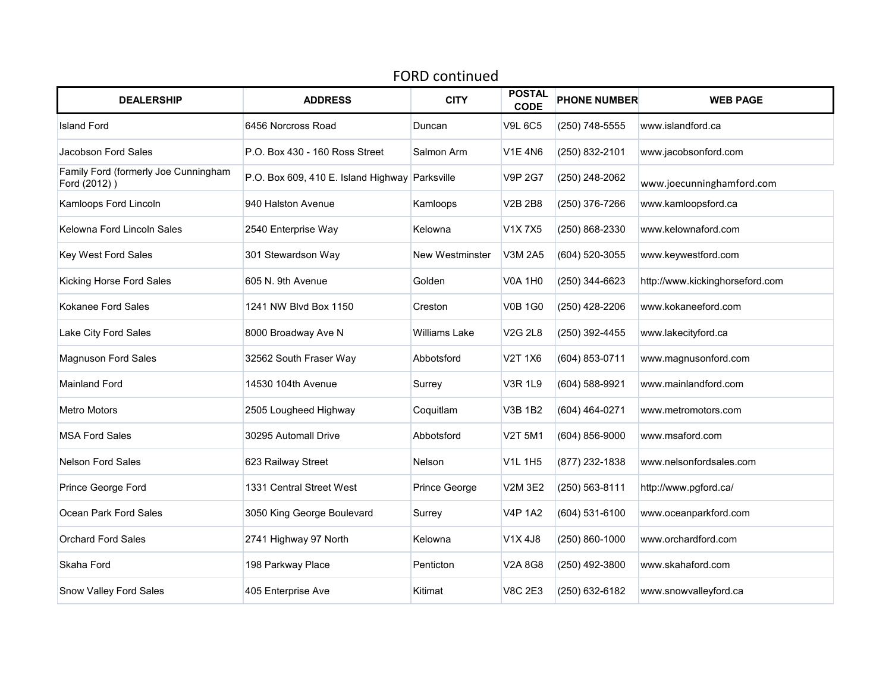| <b>FORD continued</b>                                |                                     |                 |                              |                     |                                 |  |  |  |  |
|------------------------------------------------------|-------------------------------------|-----------------|------------------------------|---------------------|---------------------------------|--|--|--|--|
| <b>DEALERSHIP</b>                                    | <b>ADDRESS</b>                      | <b>CITY</b>     | <b>POSTAL</b><br><b>CODE</b> | <b>PHONE NUMBER</b> | <b>WEB PAGE</b>                 |  |  |  |  |
| <b>Island Ford</b>                                   | 6456 Norcross Road                  | Duncan          | <b>V9L 6C5</b>               | (250) 748-5555      | www.islandford.ca               |  |  |  |  |
| Jacobson Ford Sales                                  | P.O. Box 430 - 160 Ross Street      | Salmon Arm      | V1E 4N6                      | (250) 832-2101      | www.jacobsonford.com            |  |  |  |  |
| Family Ford (formerly Joe Cunningham<br>Ford (2012)) | P.O. Box 609, 410 E. Island Highway | Parksville      | <b>V9P 2G7</b>               | (250) 248-2062      | www.joecunninghamford.com       |  |  |  |  |
| Kamloops Ford Lincoln                                | 940 Halston Avenue                  | Kamloops        | <b>V2B 2B8</b>               | (250) 376-7266      | www.kamloopsford.ca             |  |  |  |  |
| Kelowna Ford Lincoln Sales                           | 2540 Enterprise Way                 | Kelowna         | V1X7X5                       | (250) 868-2330      | www.kelownaford.com             |  |  |  |  |
| Key West Ford Sales                                  | 301 Stewardson Way                  | New Westminster | V3M 2A5                      | (604) 520-3055      | www.keywestford.com             |  |  |  |  |
| Kicking Horse Ford Sales                             | 605 N. 9th Avenue                   | Golden          | <b>V0A 1H0</b>               | (250) 344-6623      | http://www.kickinghorseford.com |  |  |  |  |
| Kokanee Ford Sales                                   | 1241 NW Blvd Box 1150               | Creston         | <b>V0B 1G0</b>               | (250) 428-2206      | www.kokaneeford.com             |  |  |  |  |
| Lake City Ford Sales                                 | 8000 Broadway Ave N                 | Williams Lake   | V2G 2L8                      | (250) 392-4455      | www.lakecityford.ca             |  |  |  |  |
| <b>Magnuson Ford Sales</b>                           | 32562 South Fraser Way              | Abbotsford      | V2T 1X6                      | (604) 853-0711      | www.magnusonford.com            |  |  |  |  |
| <b>Mainland Ford</b>                                 | 14530 104th Avenue                  | Surrey          | <b>V3R 1L9</b>               | (604) 588-9921      | www.mainlandford.com            |  |  |  |  |
| <b>Metro Motors</b>                                  | 2505 Lougheed Highway               | Coquitlam       | <b>V3B 1B2</b>               | (604) 464-0271      | www.metromotors.com             |  |  |  |  |
| <b>MSA Ford Sales</b>                                | 30295 Automall Drive                | Abbotsford      | <b>V2T 5M1</b>               | (604) 856-9000      | www.msaford.com                 |  |  |  |  |
| <b>Nelson Ford Sales</b>                             | 623 Railway Street                  | Nelson          | V1L 1H5                      | (877) 232-1838      | www.nelsonfordsales.com         |  |  |  |  |
| Prince George Ford                                   | 1331 Central Street West            | Prince George   | V2M 3E2                      | (250) 563-8111      | http://www.pgford.ca/           |  |  |  |  |
| Ocean Park Ford Sales                                | 3050 King George Boulevard          | Surrey          | <b>V4P 1A2</b>               | (604) 531-6100      | www.oceanparkford.com           |  |  |  |  |
| <b>Orchard Ford Sales</b>                            | 2741 Highway 97 North               | Kelowna         | V1X 4J8                      | (250) 860-1000      | www.orchardford.com             |  |  |  |  |
| Skaha Ford                                           | 198 Parkway Place                   | Penticton       | V2A 8G8                      | (250) 492-3800      | www.skahaford.com               |  |  |  |  |
| Snow Valley Ford Sales                               | 405 Enterprise Ave                  | Kitimat         | <b>V8C 2E3</b>               | (250) 632-6182      | www.snowvalleyford.ca           |  |  |  |  |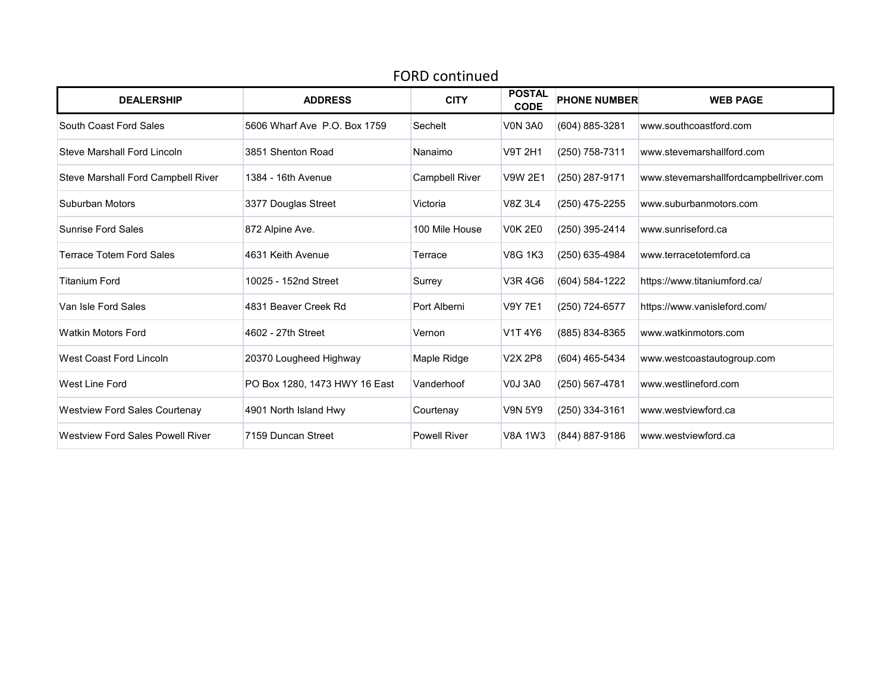| <b>DEALERSHIP</b>                       | <b>ADDRESS</b>                | <b>CITY</b>           | <b>POSTAL</b><br><b>CODE</b> | <b>PHONE NUMBER</b> | <b>WEB PAGE</b>                        |
|-----------------------------------------|-------------------------------|-----------------------|------------------------------|---------------------|----------------------------------------|
| South Coast Ford Sales                  | 5606 Wharf Ave P.O. Box 1759  | Sechelt               | <b>VON 3A0</b>               | (604) 885-3281      | www.southcoastford.com                 |
| <b>Steve Marshall Ford Lincoln</b>      | 3851 Shenton Road             | Nanaimo               | V9T 2H1                      | (250) 758-7311      | www.stevemarshallford.com              |
| Steve Marshall Ford Campbell River      | 1384 - 16th Avenue            | <b>Campbell River</b> | V9W 2E1                      | (250) 287-9171      | www.stevemarshallfordcampbellriver.com |
| Suburban Motors                         | 3377 Douglas Street           | Victoria              | V8Z 3L4                      | (250) 475-2255      | www.suburbanmotors.com                 |
| <b>Sunrise Ford Sales</b>               | 872 Alpine Ave.               | 100 Mile House        | <b>V0K 2E0</b>               | (250) 395-2414      | www.sunriseford.ca                     |
| <b>Terrace Totem Ford Sales</b>         | 4631 Keith Avenue             | Terrace               | V8G 1K3                      | (250) 635-4984      | www.terracetotemford.ca                |
| <b>Titanium Ford</b>                    | 10025 - 152nd Street          | Surrey                | V3R 4G6                      | (604) 584-1222      | https://www.titaniumford.ca/           |
| Van Isle Ford Sales                     | 4831 Beaver Creek Rd          | Port Alberni          | <b>V9Y 7E1</b>               | (250) 724-6577      | https://www.vanisleford.com/           |
| <b>Watkin Motors Ford</b>               | 4602 - 27th Street            | Vernon                | V1T 4Y6                      | (885) 834-8365      | www.watkinmotors.com                   |
| <b>West Coast Ford Lincoln</b>          | 20370 Lougheed Highway        | Maple Ridge           | V2X 2P8                      | (604) 465-5434      | www.westcoastautogroup.com             |
| <b>West Line Ford</b>                   | PO Box 1280, 1473 HWY 16 East | Vanderhoof            | <b>V0J 3A0</b>               | (250) 567-4781      | www.westlineford.com                   |
| <b>Westview Ford Sales Courtenay</b>    | 4901 North Island Hwy         | Courtenay             | <b>V9N 5Y9</b>               | (250) 334-3161      | www.westviewford.ca                    |
| <b>Westview Ford Sales Powell River</b> | 7159 Duncan Street            | <b>Powell River</b>   | <b>V8A 1W3</b>               | (844) 887-9186      | www.westviewford.ca                    |

#### FORD continued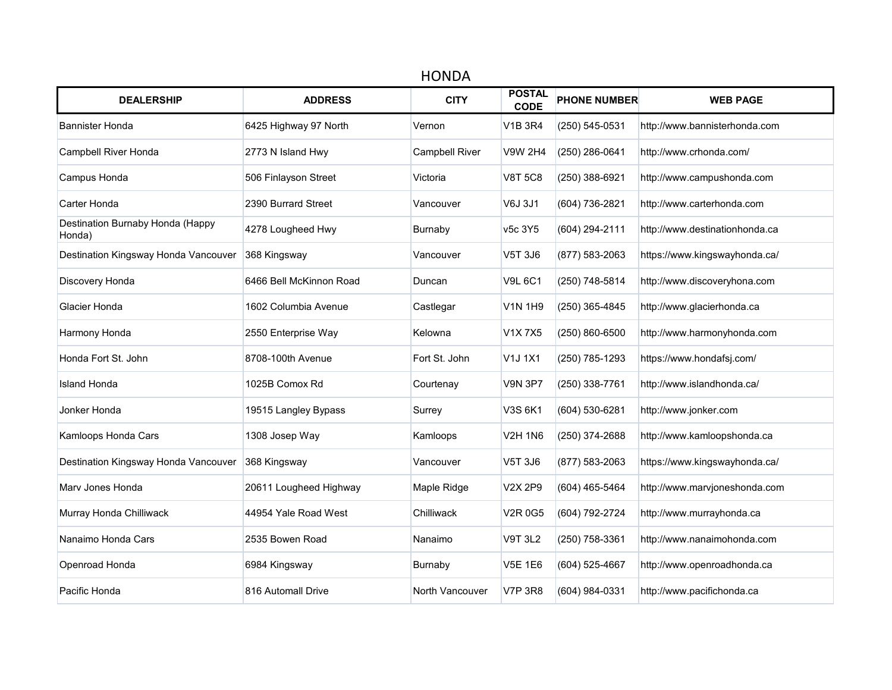| <b>HONDA</b>                               |                         |                       |                              |                     |                                |  |  |  |  |
|--------------------------------------------|-------------------------|-----------------------|------------------------------|---------------------|--------------------------------|--|--|--|--|
| <b>DEALERSHIP</b>                          | <b>ADDRESS</b>          | <b>CITY</b>           | <b>POSTAL</b><br><b>CODE</b> | <b>PHONE NUMBER</b> | <b>WEB PAGE</b>                |  |  |  |  |
| <b>Bannister Honda</b>                     | 6425 Highway 97 North   | Vernon                | V1B 3R4                      | (250) 545-0531      | http://www.bannisterhonda.com  |  |  |  |  |
| Campbell River Honda                       | 2773 N Island Hwy       | <b>Campbell River</b> | <b>V9W 2H4</b>               | (250) 286-0641      | http://www.crhonda.com/        |  |  |  |  |
| Campus Honda                               | 506 Finlayson Street    | Victoria              | <b>V8T 5C8</b>               | (250) 388-6921      | http://www.campushonda.com     |  |  |  |  |
| Carter Honda                               | 2390 Burrard Street     | Vancouver             | V6J 3J1                      | (604) 736-2821      | http://www.carterhonda.com     |  |  |  |  |
| Destination Burnaby Honda (Happy<br>Honda) | 4278 Lougheed Hwy       | Burnaby               | v5c 3Y5                      | (604) 294-2111      | http://www.destinationhonda.ca |  |  |  |  |
| Destination Kingsway Honda Vancouver       | 368 Kingsway            | Vancouver             | V5T 3J6                      | (877) 583-2063      | https://www.kingswayhonda.ca/  |  |  |  |  |
| Discovery Honda                            | 6466 Bell McKinnon Road | Duncan                | <b>V9L 6C1</b>               | (250) 748-5814      | http://www.discoveryhona.com   |  |  |  |  |
| Glacier Honda                              | 1602 Columbia Avenue    | Castlegar             | <b>V1N 1H9</b>               | (250) 365-4845      | http://www.glacierhonda.ca     |  |  |  |  |
| Harmony Honda                              | 2550 Enterprise Way     | Kelowna               | V1X 7X5                      | (250) 860-6500      | http://www.harmonyhonda.com    |  |  |  |  |
| Honda Fort St. John                        | 8708-100th Avenue       | Fort St. John         | V1J 1X1                      | (250) 785-1293      | https://www.hondafsj.com/      |  |  |  |  |
| <b>Island Honda</b>                        | 1025B Comox Rd          | Courtenay             | <b>V9N 3P7</b>               | (250) 338-7761      | http://www.islandhonda.ca/     |  |  |  |  |
| Jonker Honda                               | 19515 Langley Bypass    | Surrey                | V3S 6K1                      | (604) 530-6281      | http://www.jonker.com          |  |  |  |  |
| Kamloops Honda Cars                        | 1308 Josep Way          | Kamloops              | <b>V2H 1N6</b>               | (250) 374-2688      | http://www.kamloopshonda.ca    |  |  |  |  |
| Destination Kingsway Honda Vancouver       | 368 Kingsway            | Vancouver             | V5T 3J6                      | (877) 583-2063      | https://www.kingswayhonda.ca/  |  |  |  |  |
| Mary Jones Honda                           | 20611 Lougheed Highway  | Maple Ridge           | V2X 2P9                      | (604) 465-5464      | http://www.marvjoneshonda.com  |  |  |  |  |
| Murray Honda Chilliwack                    | 44954 Yale Road West    | Chilliwack            | <b>V2R 0G5</b>               | (604) 792-2724      | http://www.murrayhonda.ca      |  |  |  |  |
| Nanaimo Honda Cars                         | 2535 Bowen Road         | Nanaimo               | <b>V9T 3L2</b>               | (250) 758-3361      | http://www.nanaimohonda.com    |  |  |  |  |
| Openroad Honda                             | 6984 Kingsway           | Burnaby               | <b>V5E 1E6</b>               | (604) 525-4667      | http://www.openroadhonda.ca    |  |  |  |  |
| Pacific Honda                              | 816 Automall Drive      | North Vancouver       | <b>V7P 3R8</b>               | (604) 984-0331      | http://www.pacifichonda.ca     |  |  |  |  |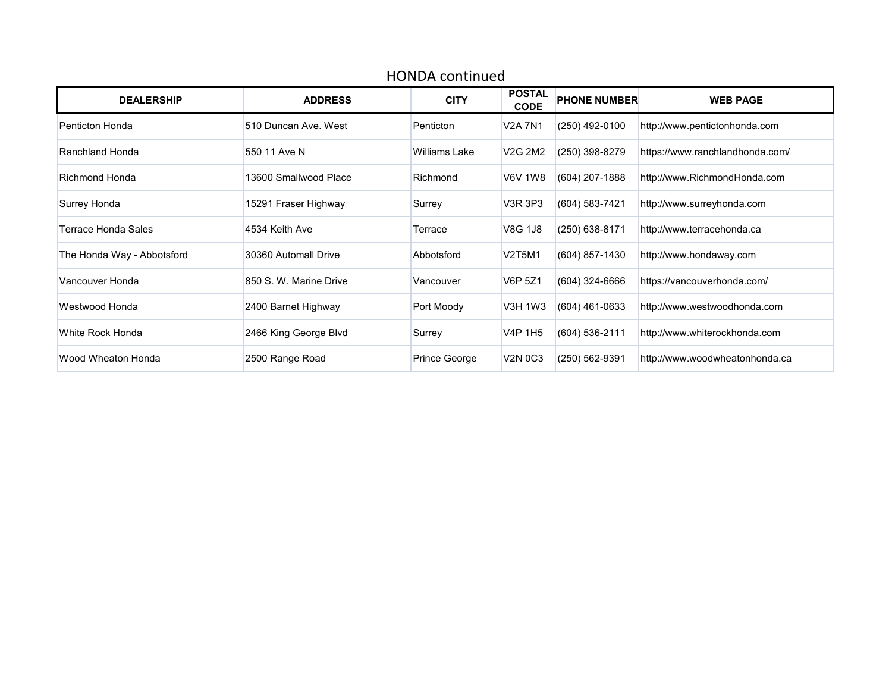| <b>HONDA</b> continued     |                        |                      |                              |                     |                                 |  |  |  |  |
|----------------------------|------------------------|----------------------|------------------------------|---------------------|---------------------------------|--|--|--|--|
| <b>DEALERSHIP</b>          | <b>ADDRESS</b>         | <b>CITY</b>          | <b>POSTAL</b><br><b>CODE</b> | <b>PHONE NUMBER</b> | <b>WEB PAGE</b>                 |  |  |  |  |
| Penticton Honda            | 510 Duncan Ave. West   | Penticton            | <b>V2A 7N1</b>               | (250) 492-0100      | http://www.pentictonhonda.com   |  |  |  |  |
| Ranchland Honda            | 550 11 Ave N           | <b>Williams Lake</b> | V2G 2M2                      | (250) 398-8279      | https://www.ranchlandhonda.com/ |  |  |  |  |
| Richmond Honda             | 13600 Smallwood Place  | Richmond             | <b>V6V 1W8</b>               | (604) 207-1888      | http://www.RichmondHonda.com    |  |  |  |  |
| Surrey Honda               | 15291 Fraser Highway   | Surrey               | V3R 3P3                      | (604) 583-7421      | http://www.surreyhonda.com      |  |  |  |  |
| Terrace Honda Sales        | 4534 Keith Ave         | Terrace              | V8G 1J8                      | (250) 638-8171      | http://www.terracehonda.ca      |  |  |  |  |
| The Honda Way - Abbotsford | 30360 Automall Drive   | Abbotsford           | <b>V2T5M1</b>                | (604) 857-1430      | http://www.hondaway.com         |  |  |  |  |
| Vancouver Honda            | 850 S. W. Marine Drive | Vancouver            | V6P 5Z1                      | $(604)$ 324-6666    | https://vancouverhonda.com/     |  |  |  |  |
| Westwood Honda             | 2400 Barnet Highway    | Port Moody           | V3H 1W3                      | (604) 461-0633      | http://www.westwoodhonda.com    |  |  |  |  |
| White Rock Honda           | 2466 King George Blvd  | Surrey               | <b>V4P 1H5</b>               | (604) 536-2111      | http://www.whiterockhonda.com   |  |  |  |  |
| Wood Wheaton Honda         | 2500 Range Road        | Prince George        | <b>V2N 0C3</b>               | (250) 562-9391      | http://www.woodwheatonhonda.ca  |  |  |  |  |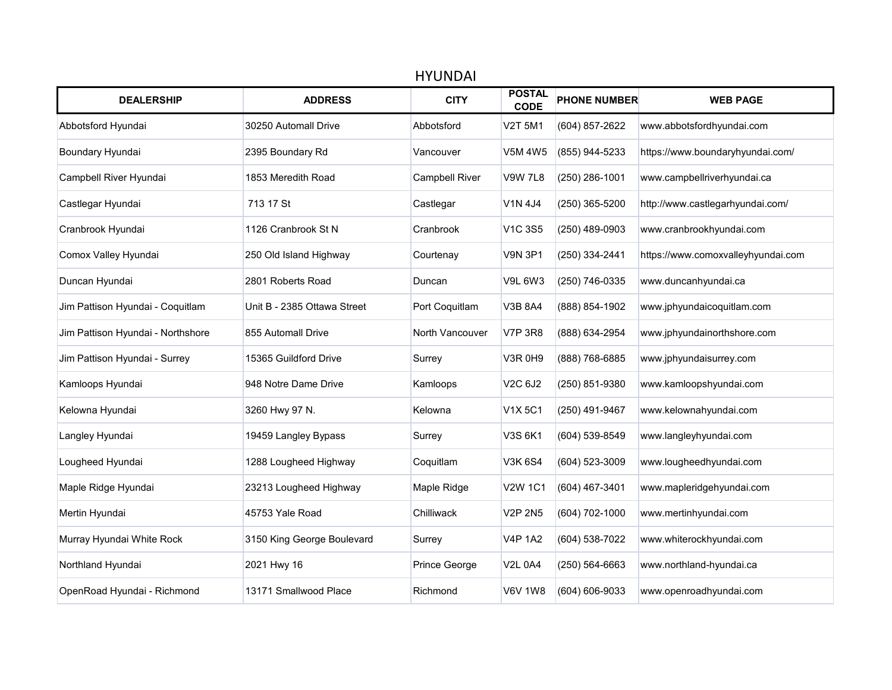|                                   |                             | <b>HYUNDAI</b>        |                                  |                     |                                    |
|-----------------------------------|-----------------------------|-----------------------|----------------------------------|---------------------|------------------------------------|
| <b>DEALERSHIP</b>                 | <b>ADDRESS</b>              | <b>CITY</b>           | <b>POSTAL</b><br><b>CODE</b>     | <b>PHONE NUMBER</b> | <b>WEB PAGE</b>                    |
| Abbotsford Hyundai                | 30250 Automall Drive        | Abbotsford            | <b>V2T 5M1</b>                   | (604) 857-2622      | www.abbotsfordhyundai.com          |
| Boundary Hyundai                  | 2395 Boundary Rd            | Vancouver             | <b>V5M 4W5</b>                   | (855) 944-5233      | https://www.boundaryhyundai.com/   |
| Campbell River Hyundai            | 1853 Meredith Road          | <b>Campbell River</b> | <b>V9W 7L8</b>                   | (250) 286-1001      | www.campbellriverhyundai.ca        |
| Castlegar Hyundai                 | 713 17 St                   | Castlegar             | V1N 4J4                          | (250) 365-5200      | http://www.castlegarhyundai.com/   |
| Cranbrook Hyundai                 | 1126 Cranbrook St N         | Cranbrook             | <b>V1C 3S5</b>                   | (250) 489-0903      | www.cranbrookhyundai.com           |
| Comox Valley Hyundai              | 250 Old Island Highway      | Courtenay             | <b>V9N 3P1</b>                   | (250) 334-2441      | https://www.comoxvalleyhyundai.com |
| Duncan Hyundai                    | 2801 Roberts Road           | Duncan                | <b>V9L 6W3</b>                   | (250) 746-0335      | www.duncanhyundai.ca               |
| Jim Pattison Hyundai - Coquitlam  | Unit B - 2385 Ottawa Street | Port Coquitlam        | <b>V3B 8A4</b>                   | (888) 854-1902      | www.jphyundaicoquitlam.com         |
| Jim Pattison Hyundai - Northshore | 855 Automall Drive          | North Vancouver       | <b>V7P 3R8</b>                   | (888) 634-2954      | www.jphyundainorthshore.com        |
| Jim Pattison Hyundai - Surrey     | 15365 Guildford Drive       | Surrey                | <b>V3R 0H9</b>                   | (888) 768-6885      | www.jphyundaisurrey.com            |
| Kamloops Hyundai                  | 948 Notre Dame Drive        | Kamloops              | V <sub>2</sub> C 6J <sub>2</sub> | (250) 851-9380      | www.kamloopshyundai.com            |
| Kelowna Hyundai                   | 3260 Hwy 97 N.              | Kelowna               | <b>V1X5C1</b>                    | (250) 491-9467      | www.kelownahyundai.com             |
| Langley Hyundai                   | 19459 Langley Bypass        | Surrey                | V3S 6K1                          | (604) 539-8549      | www.langleyhyundai.com             |
| Lougheed Hyundai                  | 1288 Lougheed Highway       | Coquitlam             | <b>V3K 6S4</b>                   | (604) 523-3009      | www.lougheedhyundai.com            |
| Maple Ridge Hyundai               | 23213 Lougheed Highway      | Maple Ridge           | <b>V2W 1C1</b>                   | (604) 467-3401      | www.mapleridgehyundai.com          |
| Mertin Hyundai                    | 45753 Yale Road             | Chilliwack            | <b>V2P 2N5</b>                   | (604) 702-1000      | www.mertinhyundai.com              |
| Murray Hyundai White Rock         | 3150 King George Boulevard  | Surrey                | <b>V4P 1A2</b>                   | (604) 538-7022      | www.whiterockhyundai.com           |
| Northland Hyundai                 | 2021 Hwy 16                 | Prince George         | <b>V2L 0A4</b>                   | (250) 564-6663      | www.northland-hyundai.ca           |
| OpenRoad Hyundai - Richmond       | 13171 Smallwood Place       | Richmond              | <b>V6V 1W8</b>                   | (604) 606-9033      | www.openroadhyundai.com            |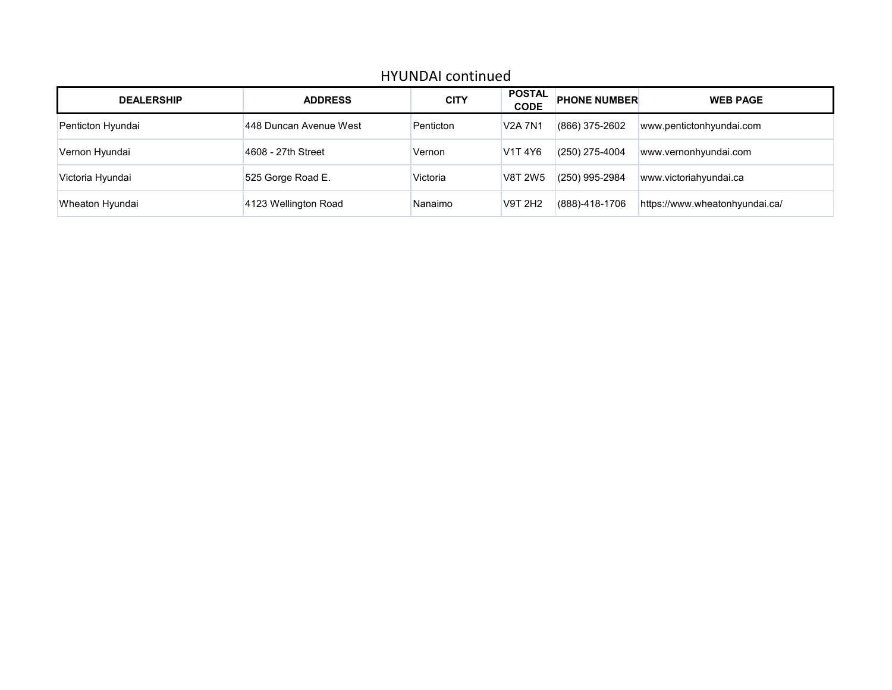## HYUNDAI continued

| <b>DEALERSHIP</b> | <b>ADDRESS</b>         | <b>CITY</b> | <b>POSTAL</b><br><b>CODE</b> | <b>PHONE NUMBER</b> | <b>WEB PAGE</b>                |
|-------------------|------------------------|-------------|------------------------------|---------------------|--------------------------------|
| Penticton Hyundai | 448 Duncan Avenue West | Penticton   | <b>V2A 7N1</b>               | $(866)$ 375-2602    | www.pentictonhyundai.com       |
| Vernon Hyundai    | 4608 - 27th Street     | Vernon      | V1T 4Y6                      | $(250)$ 275-4004    | www.vernonhyundai.com          |
| Victoria Hyundai  | 525 Gorge Road E.      | Victoria    | V8T 2W5                      | $(250)$ 995-2984    | www.victoriahyundai.ca         |
| Wheaton Hyundai   | 4123 Wellington Road   | Nanaimo     | V9T 2H2                      | (888)-418-1706      | https://www.wheatonhyundai.ca/ |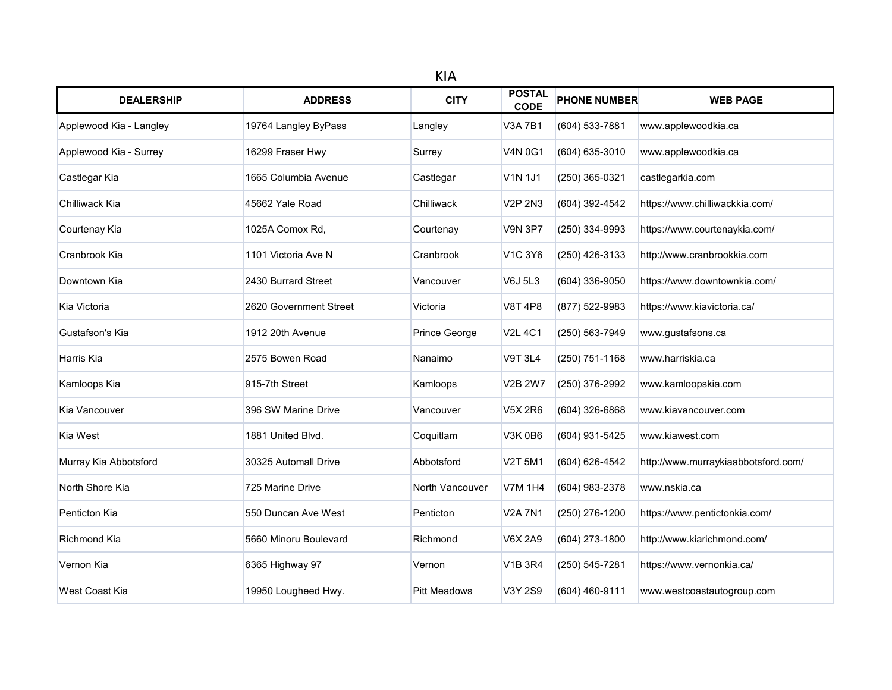| <b>DEALERSHIP</b>       | <b>ADDRESS</b>         | <b>CITY</b>         | <b>POSTAL</b><br><b>CODE</b> | <b>PHONE NUMBER</b> | <b>WEB PAGE</b>                     |
|-------------------------|------------------------|---------------------|------------------------------|---------------------|-------------------------------------|
| Applewood Kia - Langley | 19764 Langley ByPass   | Langley             | <b>V3A 7B1</b>               | (604) 533-7881      | www.applewoodkia.ca                 |
| Applewood Kia - Surrey  | 16299 Fraser Hwy       | Surrey              | <b>V4N 0G1</b>               | (604) 635-3010      | www.applewoodkia.ca                 |
| Castlegar Kia           | 1665 Columbia Avenue   | Castlegar           | <b>V1N 1J1</b>               | (250) 365-0321      | castlegarkia.com                    |
| Chilliwack Kia          | 45662 Yale Road        | Chilliwack          | <b>V2P 2N3</b>               | (604) 392-4542      | https://www.chilliwackkia.com/      |
| Courtenay Kia           | 1025A Comox Rd.        | Courtenay           | <b>V9N 3P7</b>               | (250) 334-9993      | https://www.courtenaykia.com/       |
| Cranbrook Kia           | 1101 Victoria Ave N    | Cranbrook           | <b>V1C 3Y6</b>               | (250) 426-3133      | http://www.cranbrookkia.com         |
| Downtown Kia            | 2430 Burrard Street    | Vancouver           | <b>V6J 5L3</b>               | $(604)$ 336-9050    | https://www.downtownkia.com/        |
| Kia Victoria            | 2620 Government Street | Victoria            | <b>V8T 4P8</b>               | (877) 522-9983      | https://www.kiavictoria.ca/         |
| Gustafson's Kia         | 1912 20th Avenue       | Prince George       | <b>V2L 4C1</b>               | (250) 563-7949      | www.gustafsons.ca                   |
| Harris Kia              | 2575 Bowen Road        | Nanaimo             | <b>V9T 3L4</b>               | (250) 751-1168      | www.harriskia.ca                    |
| Kamloops Kia            | 915-7th Street         | Kamloops            | <b>V2B 2W7</b>               | (250) 376-2992      | www.kamloopskia.com                 |
| Kia Vancouver           | 396 SW Marine Drive    | Vancouver           | <b>V5X 2R6</b>               | (604) 326-6868      | www.kiavancouver.com                |
| Kia West                | 1881 United Blvd.      | Coquitlam           | <b>V3K0B6</b>                | (604) 931-5425      | www.kiawest.com                     |
| Murray Kia Abbotsford   | 30325 Automall Drive   | Abbotsford          | <b>V2T 5M1</b>               | (604) 626-4542      | http://www.murraykiaabbotsford.com/ |
| North Shore Kia         | 725 Marine Drive       | North Vancouver     | <b>V7M 1H4</b>               | (604) 983-2378      | www.nskia.ca                        |
| Penticton Kia           | 550 Duncan Ave West    | Penticton           | <b>V2A 7N1</b>               | (250) 276-1200      | https://www.pentictonkia.com/       |
| <b>Richmond Kia</b>     | 5660 Minoru Boulevard  | Richmond            | <b>V6X 2A9</b>               | (604) 273-1800      | http://www.kiarichmond.com/         |
| Vernon Kia              | 6365 Highway 97        | Vernon              | <b>V1B 3R4</b>               | (250) 545-7281      | https://www.vernonkia.ca/           |
| West Coast Kia          | 19950 Lougheed Hwy.    | <b>Pitt Meadows</b> | V3Y 2S9                      | (604) 460-9111      | www.westcoastautogroup.com          |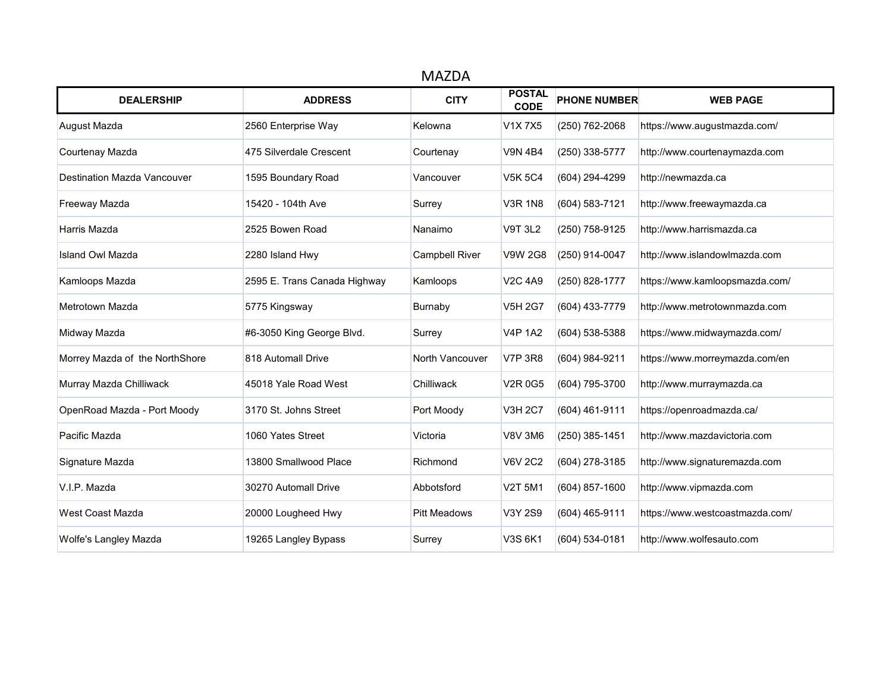| <b>MAZDA</b>                       |                              |                       |                              |                     |                                 |  |  |
|------------------------------------|------------------------------|-----------------------|------------------------------|---------------------|---------------------------------|--|--|
| <b>DEALERSHIP</b>                  | <b>ADDRESS</b>               | <b>CITY</b>           | <b>POSTAL</b><br><b>CODE</b> | <b>PHONE NUMBER</b> | <b>WEB PAGE</b>                 |  |  |
| August Mazda                       | 2560 Enterprise Way          | Kelowna               | V1X7X5                       | (250) 762-2068      | https://www.augustmazda.com/    |  |  |
| Courtenay Mazda                    | 475 Silverdale Crescent      | Courtenay             | <b>V9N 4B4</b>               | (250) 338-5777      | http://www.courtenaymazda.com   |  |  |
| <b>Destination Mazda Vancouver</b> | 1595 Boundary Road           | Vancouver             | <b>V5K 5C4</b>               | (604) 294-4299      | http://newmazda.ca              |  |  |
| Freeway Mazda                      | 15420 - 104th Ave            | Surrey                | <b>V3R 1N8</b>               | (604) 583-7121      | http://www.freewaymazda.ca      |  |  |
| Harris Mazda                       | 2525 Bowen Road              | Nanaimo               | <b>V9T 3L2</b>               | (250) 758-9125      | http://www.harrismazda.ca       |  |  |
| <b>Island Owl Mazda</b>            | 2280 Island Hwy              | <b>Campbell River</b> | <b>V9W 2G8</b>               | (250) 914-0047      | http://www.islandowlmazda.com   |  |  |
| Kamloops Mazda                     | 2595 E. Trans Canada Highway | Kamloops              | <b>V2C 4A9</b>               | (250) 828-1777      | https://www.kamloopsmazda.com/  |  |  |
| Metrotown Mazda                    | 5775 Kingsway                | Burnaby               | <b>V5H 2G7</b>               | (604) 433-7779      | http://www.metrotownmazda.com   |  |  |
| Midway Mazda                       | #6-3050 King George Blvd.    | Surrey                | <b>V4P 1A2</b>               | (604) 538-5388      | https://www.midwaymazda.com/    |  |  |
| Morrey Mazda of the NorthShore     | 818 Automall Drive           | North Vancouver       | <b>V7P 3R8</b>               | (604) 984-9211      | https://www.morreymazda.com/en  |  |  |
| Murray Mazda Chilliwack            | 45018 Yale Road West         | Chilliwack            | V <sub>2</sub> R 0G5         | (604) 795-3700      | http://www.murraymazda.ca       |  |  |
| OpenRoad Mazda - Port Moody        | 3170 St. Johns Street        | Port Moody            | <b>V3H 2C7</b>               | (604) 461-9111      | https://openroadmazda.ca/       |  |  |
| Pacific Mazda                      | 1060 Yates Street            | Victoria              | <b>V8V 3M6</b>               | (250) 385-1451      | http://www.mazdavictoria.com    |  |  |
| Signature Mazda                    | 13800 Smallwood Place        | Richmond              | <b>V6V 2C2</b>               | (604) 278-3185      | http://www.signaturemazda.com   |  |  |
| V.I.P. Mazda                       | 30270 Automall Drive         | Abbotsford            | <b>V2T 5M1</b>               | (604) 857-1600      | http://www.vipmazda.com         |  |  |
| West Coast Mazda                   | 20000 Lougheed Hwy           | <b>Pitt Meadows</b>   | V3Y 2S9                      | (604) 465-9111      | https://www.westcoastmazda.com/ |  |  |
| Wolfe's Langley Mazda              | 19265 Langley Bypass         | Surrey                | V3S 6K1                      | (604) 534-0181      | http://www.wolfesauto.com       |  |  |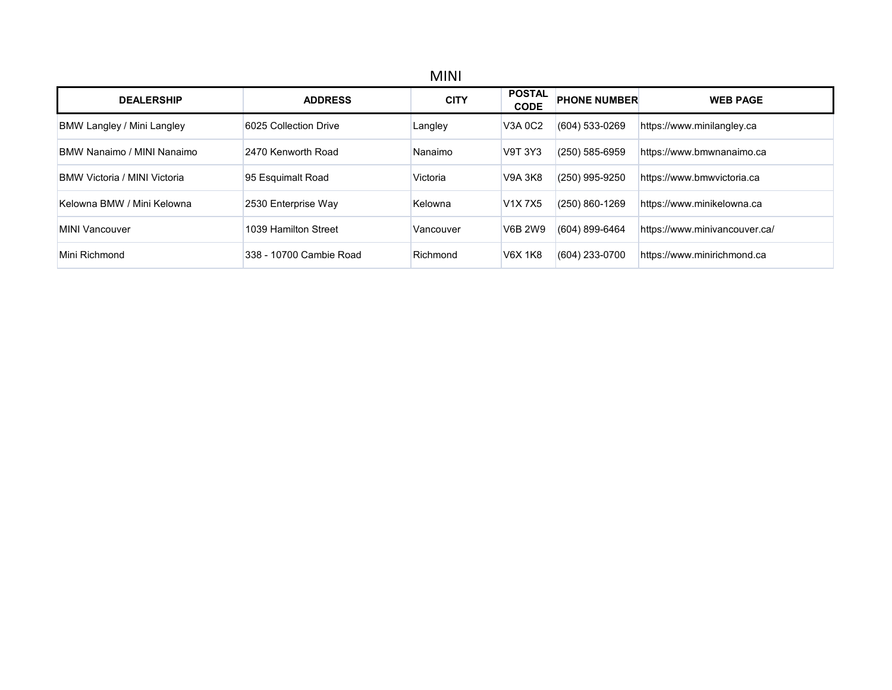| <b>DEALERSHIP</b>                   | <b>ADDRESS</b>          | <b>CITY</b> | <b>POSTAL</b><br><b>CODE</b> | <b>PHONE NUMBER</b> | <b>WEB PAGE</b>               |
|-------------------------------------|-------------------------|-------------|------------------------------|---------------------|-------------------------------|
| BMW Langley / Mini Langley          | 6025 Collection Drive   | Langley     | V3A 0C2                      | (604) 533-0269      | https://www.minilangley.ca    |
| BMW Nanaimo / MINI Nanaimo          | 2470 Kenworth Road      | Nanaimo     | V9T 3Y3                      | (250) 585-6959      | https://www.bmwnanaimo.ca     |
| <b>BMW Victoria / MINI Victoria</b> | 95 Esquimalt Road       | Victoria    | <b>V9A 3K8</b>               | (250) 995-9250      | https://www.bmwvictoria.ca    |
| Kelowna BMW / Mini Kelowna          | 2530 Enterprise Way     | Kelowna     | V1X7X5                       | (250) 860-1269      | https://www.minikelowna.ca    |
| MINI Vancouver                      | 1039 Hamilton Street    | Vancouver   | <b>V6B 2W9</b>               | (604) 899-6464      | https://www.minivancouver.ca/ |
| Mini Richmond                       | 338 - 10700 Cambie Road | Richmond    | <b>V6X 1K8</b>               | (604) 233-0700      | https://www.minirichmond.ca   |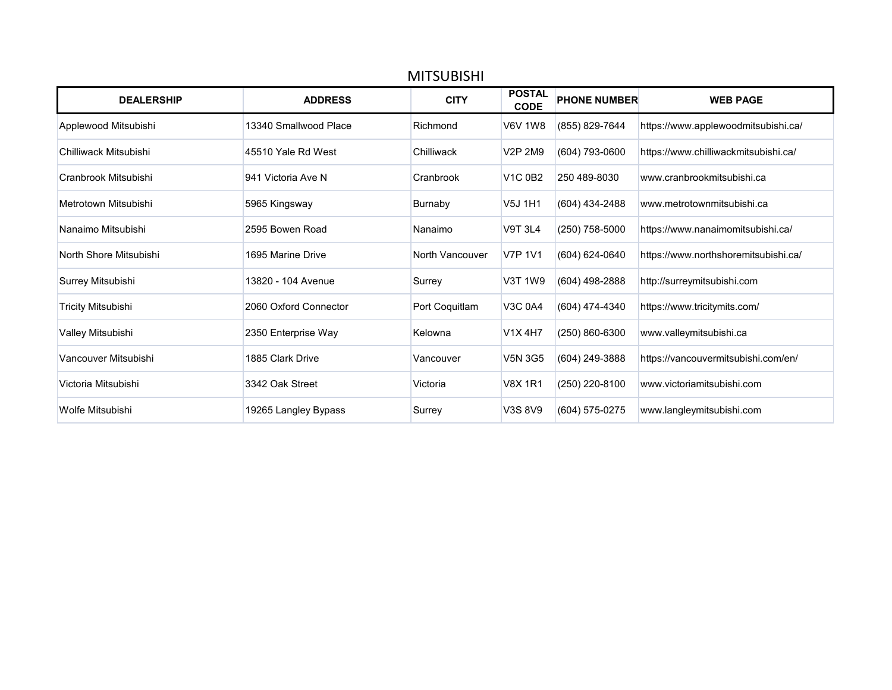| <b>MITSUBISHI</b>         |                       |                 |                                  |                     |                                      |  |  |
|---------------------------|-----------------------|-----------------|----------------------------------|---------------------|--------------------------------------|--|--|
| <b>DEALERSHIP</b>         | <b>ADDRESS</b>        | <b>CITY</b>     | <b>POSTAL</b><br><b>CODE</b>     | <b>PHONE NUMBER</b> | <b>WEB PAGE</b>                      |  |  |
| Applewood Mitsubishi      | 13340 Smallwood Place | Richmond        | <b>V6V 1W8</b>                   | (855) 829-7644      | https://www.applewoodmitsubishi.ca/  |  |  |
| Chilliwack Mitsubishi     | 45510 Yale Rd West    | Chilliwack      | V <sub>2</sub> P 2M <sub>9</sub> | (604) 793-0600      | https://www.chilliwackmitsubishi.ca/ |  |  |
| Cranbrook Mitsubishi      | 941 Victoria Ave N    | Cranbrook       | <b>V1C 0B2</b>                   | 250 489-8030        | www.cranbrookmitsubishi.ca           |  |  |
| Metrotown Mitsubishi      | 5965 Kingsway         | Burnaby         | V5J 1H1                          | (604) 434-2488      | www.metrotownmitsubishi.ca           |  |  |
| Nanaimo Mitsubishi        | 2595 Bowen Road       | Nanaimo         | <b>V9T 3L4</b>                   | (250) 758-5000      | https://www.nanaimomitsubishi.ca/    |  |  |
| North Shore Mitsubishi    | 1695 Marine Drive     | North Vancouver | <b>V7P 1V1</b>                   | (604) 624-0640      | https://www.northshoremitsubishi.ca/ |  |  |
| Surrey Mitsubishi         | 13820 - 104 Avenue    | Surrey          | V3T 1W9                          | (604) 498-2888      | http://surreymitsubishi.com          |  |  |
| <b>Tricity Mitsubishi</b> | 2060 Oxford Connector | Port Coquitlam  | <b>V3C 0A4</b>                   | (604) 474-4340      | https://www.tricitymits.com/         |  |  |
| Valley Mitsubishi         | 2350 Enterprise Way   | Kelowna         | <b>V1X4H7</b>                    | (250) 860-6300      | www.valleymitsubishi.ca              |  |  |
| Vancouver Mitsubishi      | 1885 Clark Drive      | Vancouver       | <b>V5N 3G5</b>                   | (604) 249-3888      | https://vancouvermitsubishi.com/en/  |  |  |
| Victoria Mitsubishi       | 3342 Oak Street       | Victoria        | <b>V8X 1R1</b>                   | (250) 220-8100      | www.victoriamitsubishi.com           |  |  |
| Wolfe Mitsubishi          | 19265 Langley Bypass  | Surrey          | V3S 8V9                          | (604) 575-0275      | www.langleymitsubishi.com            |  |  |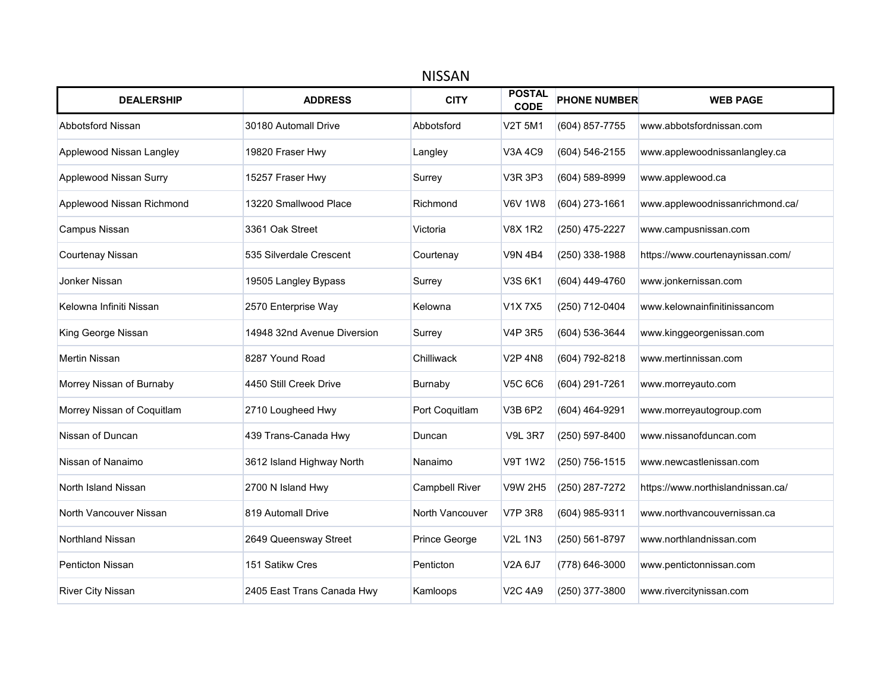|                            | <b>NISSAN</b>               |                       |                              |                     |                                   |  |  |  |
|----------------------------|-----------------------------|-----------------------|------------------------------|---------------------|-----------------------------------|--|--|--|
| <b>DEALERSHIP</b>          | <b>ADDRESS</b>              | <b>CITY</b>           | <b>POSTAL</b><br><b>CODE</b> | <b>PHONE NUMBER</b> | <b>WEB PAGE</b>                   |  |  |  |
| Abbotsford Nissan          | 30180 Automall Drive        | Abbotsford            | V2T 5M1                      | (604) 857-7755      | www.abbotsfordnissan.com          |  |  |  |
| Applewood Nissan Langley   | 19820 Fraser Hwy            | Langley               | V3A 4C9                      | (604) 546-2155      | www.applewoodnissanlangley.ca     |  |  |  |
| Applewood Nissan Surry     | 15257 Fraser Hwy            | Surrey                | <b>V3R 3P3</b>               | (604) 589-8999      | www.applewood.ca                  |  |  |  |
| Applewood Nissan Richmond  | 13220 Smallwood Place       | Richmond              | <b>V6V 1W8</b>               | (604) 273-1661      | www.applewoodnissanrichmond.ca/   |  |  |  |
| Campus Nissan              | 3361 Oak Street             | Victoria              | <b>V8X 1R2</b>               | (250) 475-2227      | www.campusnissan.com              |  |  |  |
| Courtenay Nissan           | 535 Silverdale Crescent     | Courtenay             | <b>V9N 4B4</b>               | (250) 338-1988      | https://www.courtenaynissan.com/  |  |  |  |
| Jonker Nissan              | 19505 Langley Bypass        | Surrey                | V3S 6K1                      | (604) 449-4760      | www.jonkernissan.com              |  |  |  |
| Kelowna Infiniti Nissan    | 2570 Enterprise Way         | Kelowna               | V1X7X5                       | (250) 712-0404      | www.kelownainfinitinissancom      |  |  |  |
| King George Nissan         | 14948 32nd Avenue Diversion | Surrey                | <b>V4P 3R5</b>               | (604) 536-3644      | www.kinggeorgenissan.com          |  |  |  |
| <b>Mertin Nissan</b>       | 8287 Yound Road             | Chilliwack            | <b>V2P 4N8</b>               | (604) 792-8218      | www.mertinnissan.com              |  |  |  |
| Morrey Nissan of Burnaby   | 4450 Still Creek Drive      | Burnaby               | <b>V5C 6C6</b>               | (604) 291-7261      | www.morreyauto.com                |  |  |  |
| Morrey Nissan of Coquitlam | 2710 Lougheed Hwy           | Port Coquitlam        | V3B 6P2                      | (604) 464-9291      | www.morreyautogroup.com           |  |  |  |
| Nissan of Duncan           | 439 Trans-Canada Hwy        | Duncan                | <b>V9L 3R7</b>               | (250) 597-8400      | www.nissanofduncan.com            |  |  |  |
| Nissan of Nanaimo          | 3612 Island Highway North   | Nanaimo               | <b>V9T 1W2</b>               | (250) 756-1515      | www.newcastlenissan.com           |  |  |  |
| North Island Nissan        | 2700 N Island Hwy           | <b>Campbell River</b> | <b>V9W 2H5</b>               | (250) 287-7272      | https://www.northislandnissan.ca/ |  |  |  |
| North Vancouver Nissan     | 819 Automall Drive          | North Vancouver       | <b>V7P 3R8</b>               | (604) 985-9311      | www.northvancouvernissan.ca       |  |  |  |
| Northland Nissan           | 2649 Queensway Street       | Prince George         | <b>V2L 1N3</b>               | (250) 561-8797      | www.northlandnissan.com           |  |  |  |
| Penticton Nissan           | 151 Satikw Cres             | Penticton             | V2A 6J7                      | (778) 646-3000      | www.pentictonnissan.com           |  |  |  |
| <b>River City Nissan</b>   | 2405 East Trans Canada Hwy  | Kamloops              | <b>V2C 4A9</b>               | (250) 377-3800      | www.rivercitynissan.com           |  |  |  |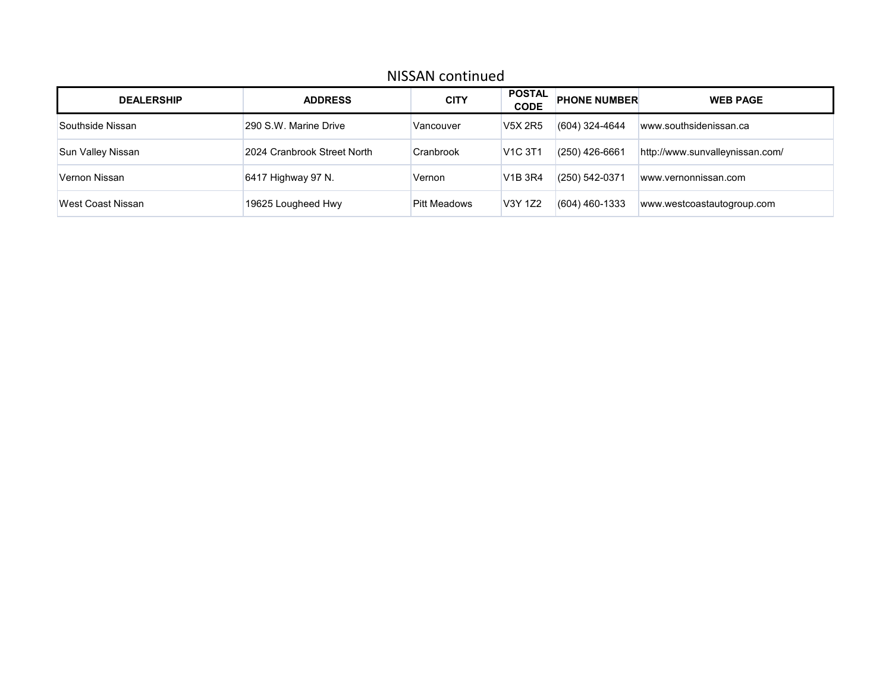#### NISSAN continued

| <b>DEALERSHIP</b> | <b>ADDRESS</b>              | <b>CITY</b>         | <b>POSTAL</b><br><b>CODE</b>          | <b>PHONE NUMBER</b> | <b>WEB PAGE</b>                 |
|-------------------|-----------------------------|---------------------|---------------------------------------|---------------------|---------------------------------|
| Southside Nissan  | 290 S.W. Marine Drive       | Vancouver           | <b>V5X 2R5</b>                        | (604) 324-4644      | www.southsidenissan.ca          |
| Sun Valley Nissan | 2024 Cranbrook Street North | Cranbrook           | <b>V<sub>1</sub>C</b> 3T <sub>1</sub> | $(250)$ 426-6661    | http://www.sunvalleynissan.com/ |
| Vernon Nissan     | 6417 Highway 97 N.          | Vernon              | <b>V<sub>1</sub>B</b> 3R4             | $(250) 542 - 0371$  | www.vernonnissan.com            |
| West Coast Nissan | 19625 Lougheed Hwy          | <b>Pitt Meadows</b> | V3Y 1Z2                               | $(604)$ 460-1333    | www.westcoastautogroup.com      |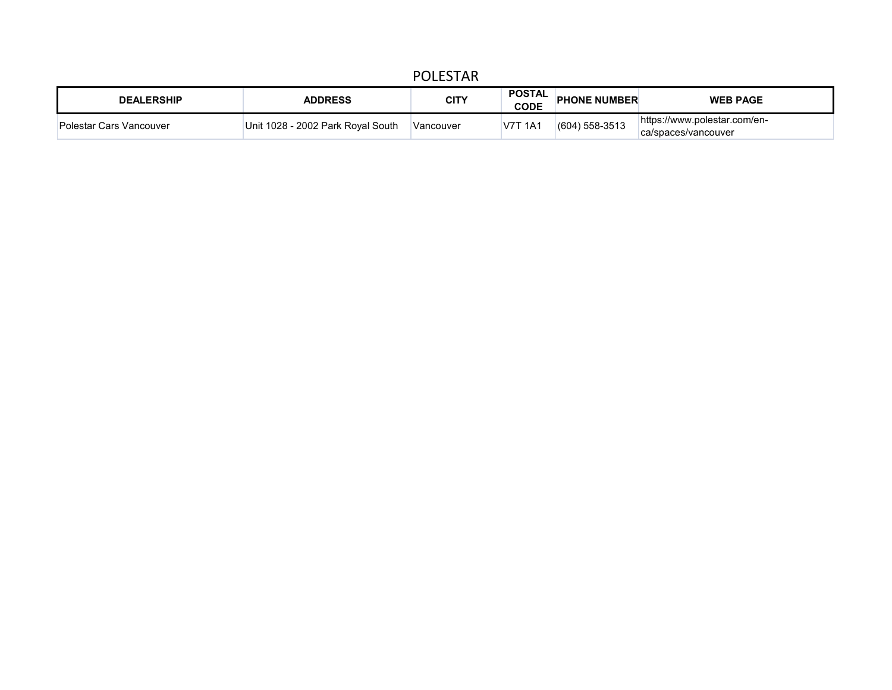## POLESTAR

| <b>DEALERSHIP</b>       | <b>ADDRESS</b>                     | <b>CITY</b> | <b>POSTAL</b><br><b>CODE</b> | <b>PHONE NUMBER</b> | <b>WEB PAGE</b>                                     |
|-------------------------|------------------------------------|-------------|------------------------------|---------------------|-----------------------------------------------------|
| Polestar Cars Vancouver | ⊺Unit 1028 - 2002 Park Roval South | Vancouver   | <b>V7T 1A1</b>               | $(604)$ 558-3513    | https://www.polestar.com/en-<br>ca/spaces/vancouver |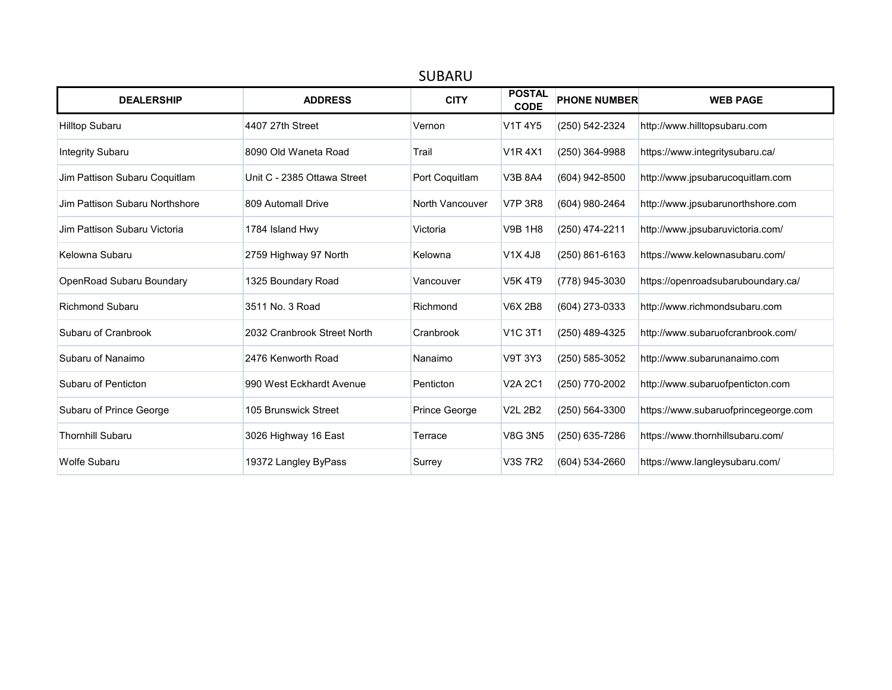| <b>DEALERSHIP</b>              | <b>ADDRESS</b>              | <b>CITY</b>          | <b>POSTAL</b><br><b>CODE</b> | <b>PHONE NUMBER</b> | <b>WEB PAGE</b>                      |
|--------------------------------|-----------------------------|----------------------|------------------------------|---------------------|--------------------------------------|
| <b>Hilltop Subaru</b>          | 4407 27th Street            | Vernon               | V1T 4Y5                      | (250) 542-2324      | http://www.hilltopsubaru.com         |
| <b>Integrity Subaru</b>        | 8090 Old Waneta Road        | Trail                | <b>V1R4X1</b>                | (250) 364-9988      | https://www.integritysubaru.ca/      |
| Jim Pattison Subaru Coquitlam  | Unit C - 2385 Ottawa Street | Port Coquitlam       | <b>V3B 8A4</b>               | (604) 942-8500      | http://www.jpsubarucoquitlam.com     |
| Jim Pattison Subaru Northshore | 809 Automall Drive          | North Vancouver      | <b>V7P 3R8</b>               | (604) 980-2464      | http://www.jpsubarunorthshore.com    |
| Jim Pattison Subaru Victoria   | 1784 Island Hwy             | Victoria             | <b>V9B 1H8</b>               | (250) 474-2211      | http://www.jpsubaruvictoria.com/     |
| Kelowna Subaru                 | 2759 Highway 97 North       | Kelowna              | V1X4J8                       | (250) 861-6163      | https://www.kelownasubaru.com/       |
| OpenRoad Subaru Boundary       | 1325 Boundary Road          | Vancouver            | <b>V5K4T9</b>                | (778) 945-3030      | https://openroadsubaruboundary.ca/   |
| <b>Richmond Subaru</b>         | 3511 No. 3 Road             | Richmond             | <b>V6X 2B8</b>               | (604) 273-0333      | http://www.richmondsubaru.com        |
| Subaru of Cranbrook            | 2032 Cranbrook Street North | Cranbrook            | <b>V1C 3T1</b>               | (250) 489-4325      | http://www.subaruofcranbrook.com/    |
| Subaru of Nanaimo              | 2476 Kenworth Road          | Nanaimo              | <b>V9T 3Y3</b>               | (250) 585-3052      | http://www.subarunanaimo.com         |
| Subaru of Penticton            | 990 West Eckhardt Avenue    | Penticton            | <b>V2A 2C1</b>               | (250) 770-2002      | http://www.subaruofpenticton.com     |
| Subaru of Prince George        | 105 Brunswick Street        | <b>Prince George</b> | <b>V2L 2B2</b>               | (250) 564-3300      | https://www.subaruofprincegeorge.com |
| <b>Thornhill Subaru</b>        | 3026 Highway 16 East        | Terrace              | <b>V8G 3N5</b>               | (250) 635-7286      | https://www.thornhillsubaru.com/     |
| <b>Wolfe Subaru</b>            | 19372 Langley ByPass        | Surrey               | <b>V3S 7R2</b>               | (604) 534-2660      | https://www.langleysubaru.com/       |

## SUBARU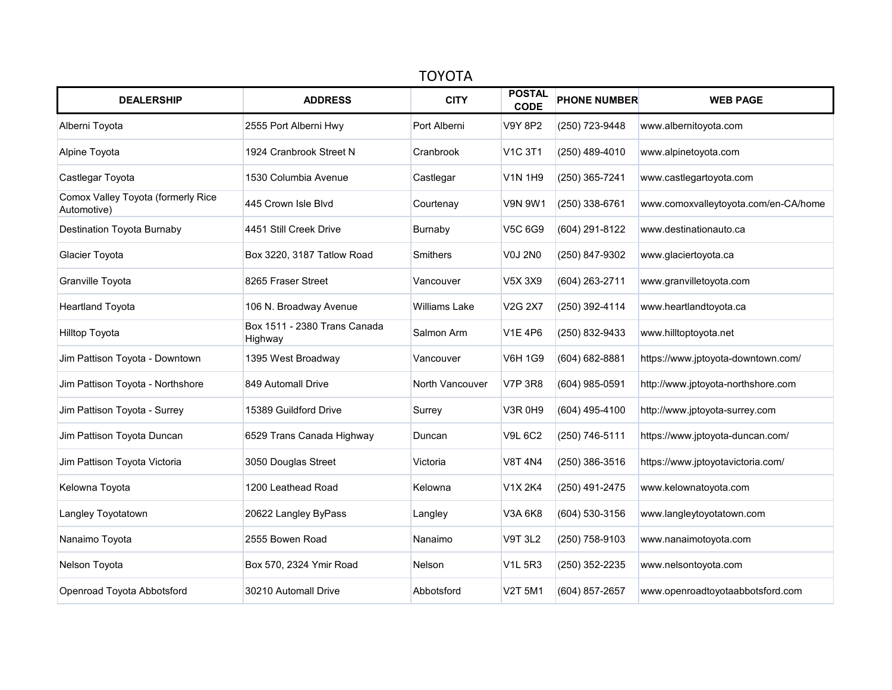| <b>TOYOTA</b>                                     |                                         |                      |                              |                     |                                      |  |  |  |
|---------------------------------------------------|-----------------------------------------|----------------------|------------------------------|---------------------|--------------------------------------|--|--|--|
| <b>DEALERSHIP</b>                                 | <b>ADDRESS</b>                          | <b>CITY</b>          | <b>POSTAL</b><br><b>CODE</b> | <b>PHONE NUMBER</b> | <b>WEB PAGE</b>                      |  |  |  |
| Alberni Toyota                                    | 2555 Port Alberni Hwy                   | Port Alberni         | V9Y 8P2                      | (250) 723-9448      | www.albernitoyota.com                |  |  |  |
| Alpine Toyota                                     | 1924 Cranbrook Street N                 | Cranbrook            | <b>V1C 3T1</b>               | (250) 489-4010      | www.alpinetoyota.com                 |  |  |  |
| Castlegar Toyota                                  | 1530 Columbia Avenue                    | Castlegar            | <b>V1N 1H9</b>               | (250) 365-7241      | www.castlegartoyota.com              |  |  |  |
| Comox Valley Toyota (formerly Rice<br>Automotive) | 445 Crown Isle Blvd                     | Courtenay            | V9N 9W1                      | (250) 338-6761      | www.comoxvalleytoyota.com/en-CA/home |  |  |  |
| <b>Destination Toyota Burnaby</b>                 | 4451 Still Creek Drive                  | Burnaby              | V5C 6G9                      | (604) 291-8122      | www.destinationauto.ca               |  |  |  |
| Glacier Toyota                                    | Box 3220, 3187 Tatlow Road              | <b>Smithers</b>      | <b>V0J 2N0</b>               | (250) 847-9302      | www.glaciertoyota.ca                 |  |  |  |
| Granville Toyota                                  | 8265 Fraser Street                      | Vancouver            | V5X 3X9                      | (604) 263-2711      | www.granvilletoyota.com              |  |  |  |
| <b>Heartland Toyota</b>                           | 106 N. Broadway Avenue                  | <b>Williams Lake</b> | <b>V2G 2X7</b>               | (250) 392-4114      | www.heartlandtoyota.ca               |  |  |  |
| Hilltop Toyota                                    | Box 1511 - 2380 Trans Canada<br>Highway | Salmon Arm           | <b>V1E 4P6</b>               | (250) 832-9433      | www.hilltoptoyota.net                |  |  |  |
| Jim Pattison Toyota - Downtown                    | 1395 West Broadway                      | Vancouver            | V6H 1G9                      | (604) 682-8881      | https://www.jptoyota-downtown.com/   |  |  |  |
| Jim Pattison Toyota - Northshore                  | 849 Automall Drive                      | North Vancouver      | <b>V7P 3R8</b>               | (604) 985-0591      | http://www.jptoyota-northshore.com   |  |  |  |
| Jim Pattison Toyota - Surrey                      | 15389 Guildford Drive                   | Surrey               | <b>V3R 0H9</b>               | (604) 495-4100      | http://www.jptoyota-surrey.com       |  |  |  |
| Jim Pattison Toyota Duncan                        | 6529 Trans Canada Highway               | Duncan               | <b>V9L 6C2</b>               | (250) 746-5111      | https://www.jptoyota-duncan.com/     |  |  |  |
| Jim Pattison Toyota Victoria                      | 3050 Douglas Street                     | Victoria             | <b>V8T 4N4</b>               | (250) 386-3516      | https://www.jptoyotavictoria.com/    |  |  |  |
| Kelowna Toyota                                    | 1200 Leathead Road                      | Kelowna              | V1X 2K4                      | (250) 491-2475      | www.kelownatoyota.com                |  |  |  |
| Langley Toyotatown                                | 20622 Langley ByPass                    | Langley              | V3A 6K8                      | (604) 530-3156      | www.langleytoyotatown.com            |  |  |  |
| Nanaimo Toyota                                    | 2555 Bowen Road                         | Nanaimo              | <b>V9T 3L2</b>               | (250) 758-9103      | www.nanaimotoyota.com                |  |  |  |
| Nelson Toyota                                     | Box 570, 2324 Ymir Road                 | <b>Nelson</b>        | <b>V1L 5R3</b>               | (250) 352-2235      | www.nelsontoyota.com                 |  |  |  |
| Openroad Toyota Abbotsford                        | 30210 Automall Drive                    | Abbotsford           | <b>V2T 5M1</b>               | (604) 857-2657      | www.openroadtoyotaabbotsford.com     |  |  |  |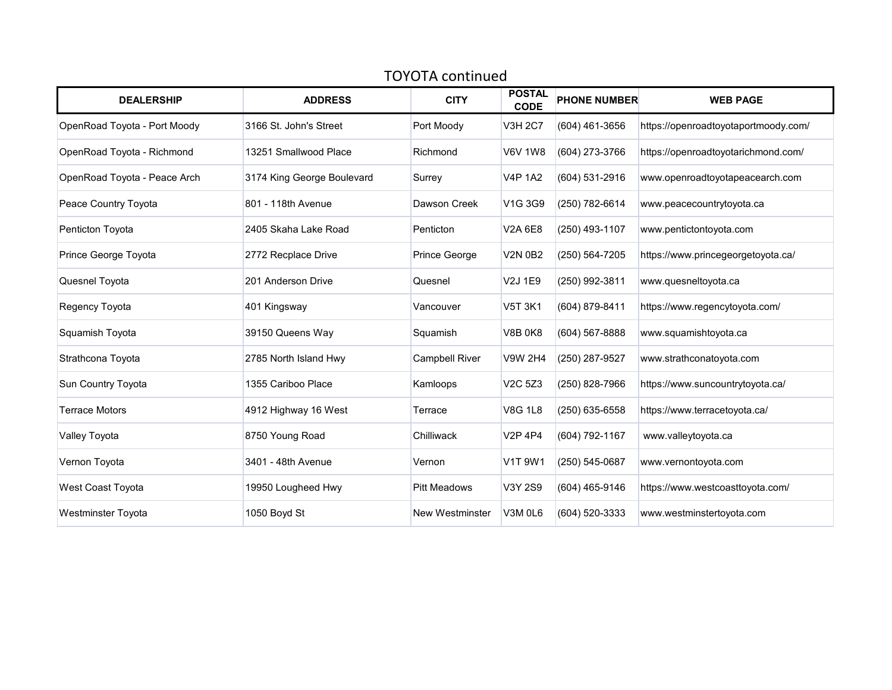| <b>TOYOTA continued</b>      |                            |                        |                              |                     |                                      |  |  |  |
|------------------------------|----------------------------|------------------------|------------------------------|---------------------|--------------------------------------|--|--|--|
| <b>DEALERSHIP</b>            | <b>ADDRESS</b>             | <b>CITY</b>            | <b>POSTAL</b><br><b>CODE</b> | <b>PHONE NUMBER</b> | <b>WEB PAGE</b>                      |  |  |  |
| OpenRoad Toyota - Port Moody | 3166 St. John's Street     | Port Moody             | <b>V3H 2C7</b>               | (604) 461-3656      | https://openroadtoyotaportmoody.com/ |  |  |  |
| OpenRoad Toyota - Richmond   | 13251 Smallwood Place      | Richmond               | <b>V6V 1W8</b>               | (604) 273-3766      | https://openroadtoyotarichmond.com/  |  |  |  |
| OpenRoad Toyota - Peace Arch | 3174 King George Boulevard | Surrey                 | <b>V4P 1A2</b>               | (604) 531-2916      | www.openroadtoyotapeacearch.com      |  |  |  |
| Peace Country Toyota         | 801 - 118th Avenue         | Dawson Creek           | V1G 3G9                      | (250) 782-6614      | www.peacecountrytoyota.ca            |  |  |  |
| Penticton Toyota             | 2405 Skaha Lake Road       | Penticton              | V2A 6E8                      | (250) 493-1107      | www.pentictontoyota.com              |  |  |  |
| Prince George Toyota         | 2772 Recplace Drive        | Prince George          | V2N 0B2                      | (250) 564-7205      | https://www.princegeorgetoyota.ca/   |  |  |  |
| Quesnel Toyota               | 201 Anderson Drive         | Quesnel                | V2J 1E9                      | (250) 992-3811      | www.quesneltoyota.ca                 |  |  |  |
| Regency Toyota               | 401 Kingsway               | Vancouver              | V5T 3K1                      | (604) 879-8411      | https://www.regencytoyota.com/       |  |  |  |
| Squamish Toyota              | 39150 Queens Way           | Squamish               | <b>V8B 0K8</b>               | (604) 567-8888      | www.squamishtoyota.ca                |  |  |  |
| Strathcona Toyota            | 2785 North Island Hwy      | <b>Campbell River</b>  | <b>V9W 2H4</b>               | (250) 287-9527      | www.strathconatoyota.com             |  |  |  |
| Sun Country Toyota           | 1355 Cariboo Place         | Kamloops               | V <sub>2</sub> C 5Z3         | (250) 828-7966      | https://www.suncountrytoyota.ca/     |  |  |  |
| <b>Terrace Motors</b>        | 4912 Highway 16 West       | Terrace                | <b>V8G 1L8</b>               | (250) 635-6558      | https://www.terracetoyota.ca/        |  |  |  |
| Valley Toyota                | 8750 Young Road            | Chilliwack             | <b>V2P 4P4</b>               | (604) 792-1167      | www.valleytoyota.ca                  |  |  |  |
| Vernon Toyota                | 3401 - 48th Avenue         | Vernon                 | V1T9W1                       | (250) 545-0687      | www.vernontoyota.com                 |  |  |  |
| West Coast Toyota            | 19950 Lougheed Hwy         | <b>Pitt Meadows</b>    | V3Y 2S9                      | (604) 465-9146      | https://www.westcoasttoyota.com/     |  |  |  |
| <b>Westminster Toyota</b>    | 1050 Boyd St               | <b>New Westminster</b> | V3M 0L6                      | (604) 520-3333      | www.westminstertoyota.com            |  |  |  |